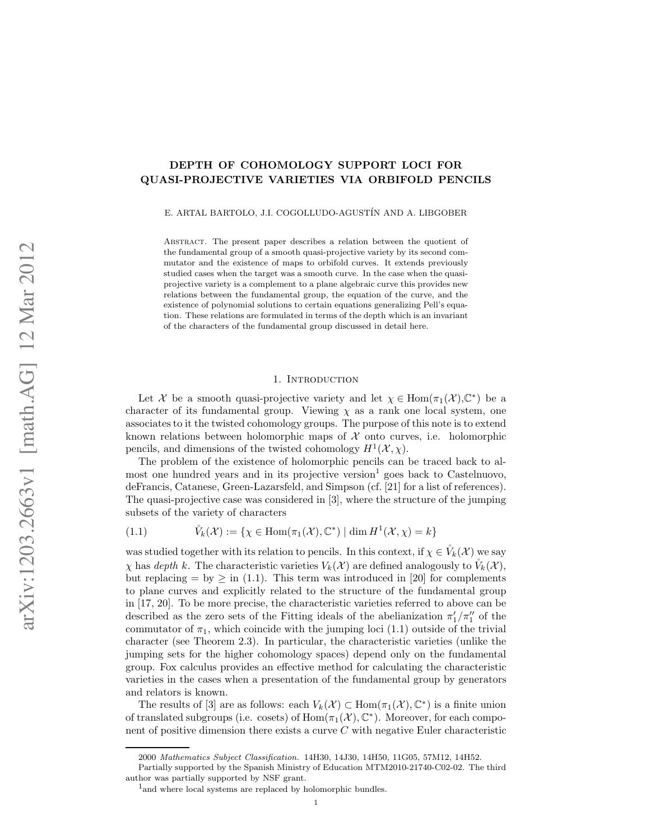# DEPTH OF COHOMOLOGY SUPPORT LOCI FOR QUASI-PROJECTIVE VARIETIES VIA ORBIFOLD PENCILS

E. ARTAL BARTOLO, J.I. COGOLLUDO-AGUST´IN AND A. LIBGOBER

Abstract. The present paper describes a relation between the quotient of the fundamental group of a smooth quasi-projective variety by its second commutator and the existence of maps to orbifold curves. It extends previously studied cases when the target was a smooth curve. In the case when the quasiprojective variety is a complement to a plane algebraic curve this provides new relations between the fundamental group, the equation of the curve, and the existence of polynomial solutions to certain equations generalizing Pell's equation. These relations are formulated in terms of the depth which is an invariant of the characters of the fundamental group discussed in detail here.

# 1. INTRODUCTION

Let X be a smooth quasi-projective variety and let  $\chi \in \text{Hom}(\pi_1(\mathcal{X}), \mathbb{C}^*)$  be a character of its fundamental group. Viewing  $\chi$  as a rank one local system, one associates to it the twisted cohomology groups. The purpose of this note is to extend known relations between holomorphic maps of  $\mathcal X$  onto curves, i.e. holomorphic pencils, and dimensions of the twisted cohomology  $H^1(\mathcal{X}, \chi)$ .

The problem of the existence of holomorphic pencils can be traced back to almost one hundred years and in its projective version<sup>1</sup> goes back to Castelnuovo, deFrancis, Catanese, Green-Lazarsfeld, and Simpson (cf. [21] for a list of references). The quasi-projective case was considered in [3], where the structure of the jumping subsets of the variety of characters

(1.1) 
$$
\mathring{V}_k(\mathcal{X}) := \{ \chi \in \text{Hom}(\pi_1(\mathcal{X}), \mathbb{C}^*) \mid \dim H^1(\mathcal{X}, \chi) = k \}
$$

was studied together with its relation to pencils. In this context, if  $\chi \in V_k(\mathcal{X})$  we say  $\chi$  has depth k. The characteristic varieties  $V_k(\mathcal{X})$  are defined analogously to  $\mathring{V}_k(\mathcal{X})$ , but replacing  $=$  by  $\geq$  in (1.1). This term was introduced in [20] for complements to plane curves and explicitly related to the structure of the fundamental group in [17, 20]. To be more precise, the characteristic varieties referred to above can be described as the zero sets of the Fitting ideals of the abelianization  $\pi'_1/\pi''_1$  of the commutator of  $\pi_1$ , which coincide with the jumping loci (1.1) outside of the trivial character (see Theorem 2.3). In particular, the characteristic varieties (unlike the jumping sets for the higher cohomology spaces) depend only on the fundamental group. Fox calculus provides an effective method for calculating the characteristic varieties in the cases when a presentation of the fundamental group by generators and relators is known.

The results of [3] are as follows: each  $V_k(\mathcal{X}) \subset \text{Hom}(\pi_1(\mathcal{X}), \mathbb{C}^*)$  is a finite union of translated subgroups (i.e. cosets) of  $Hom(\pi_1(\mathcal{X}), \mathbb{C}^*)$ . Moreover, for each component of positive dimension there exists a curve C with negative Euler characteristic

<sup>2000</sup> Mathematics Subject Classification. 14H30, 14J30, 14H50, 11G05, 57M12, 14H52.

Partially supported by the Spanish Ministry of Education MTM2010-21740-C02-02. The third author was partially supported by NSF grant.

<sup>&</sup>lt;sup>1</sup> and where local systems are replaced by holomorphic bundles.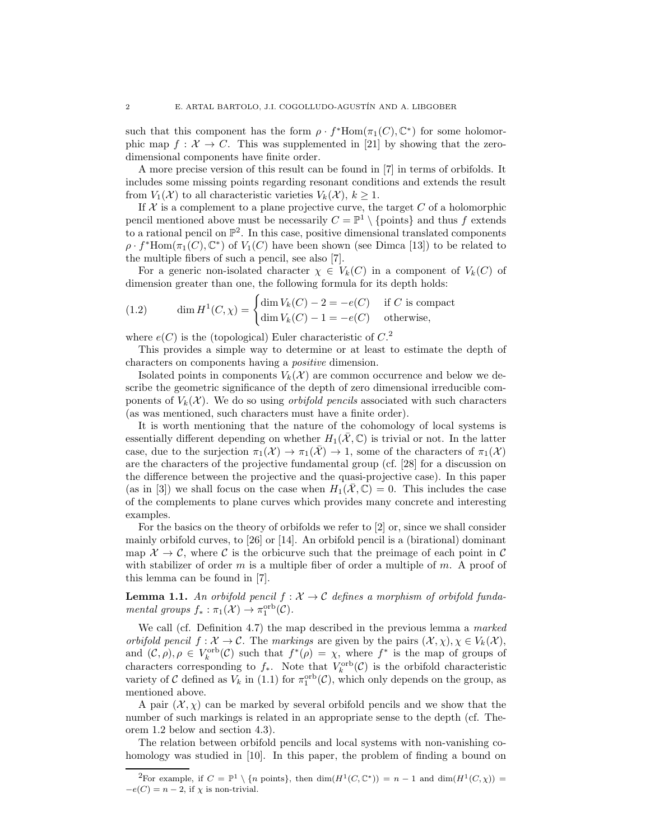such that this component has the form  $\rho \cdot f^*$ Hom $(\pi_1(C), \mathbb{C}^*)$  for some holomorphic map  $f : \mathcal{X} \to C$ . This was supplemented in [21] by showing that the zerodimensional components have finite order.

A more precise version of this result can be found in [7] in terms of orbifolds. It includes some missing points regarding resonant conditions and extends the result from  $V_1(\mathcal{X})$  to all characteristic varieties  $V_k(\mathcal{X}), k \geq 1$ .

If  ${\mathcal X}$  is a complement to a plane projective curve, the target  $C$  of a holomorphic pencil mentioned above must be necessarily  $C = \mathbb{P}^1 \setminus \{\text{points}\}\$ and thus f extends to a rational pencil on  $\mathbb{P}^2$ . In this case, positive dimensional translated components  $\rho \cdot f^*$ Hom $(\pi_1(C), \mathbb{C}^*)$  of  $V_1(C)$  have been shown (see Dimca [13]) to be related to the multiple fibers of such a pencil, see also [7].

For a generic non-isolated character  $\chi \in V_k(C)$  in a component of  $V_k(C)$  of dimension greater than one, the following formula for its depth holds:

(1.2) 
$$
\dim H^1(C, \chi) = \begin{cases} \dim V_k(C) - 2 = -e(C) & \text{if } C \text{ is compact} \\ \dim V_k(C) - 1 = -e(C) & \text{otherwise,} \end{cases}
$$

where  $e(C)$  is the (topological) Euler characteristic of  $C<sup>2</sup>$ 

This provides a simple way to determine or at least to estimate the depth of characters on components having a positive dimension.

Isolated points in components  $V_k(\mathcal{X})$  are common occurrence and below we describe the geometric significance of the depth of zero dimensional irreducible components of  $V_k(\mathcal{X})$ . We do so using *orbifold pencils* associated with such characters (as was mentioned, such characters must have a finite order).

It is worth mentioning that the nature of the cohomology of local systems is essentially different depending on whether  $H_1(\mathcal{X}, \mathbb{C})$  is trivial or not. In the latter case, due to the surjection  $\pi_1(\mathcal{X}) \to \pi_1(\bar{\mathcal{X}}) \to 1$ , some of the characters of  $\pi_1(\mathcal{X})$ are the characters of the projective fundamental group (cf. [28] for a discussion on the difference between the projective and the quasi-projective case). In this paper (as in [3]) we shall focus on the case when  $H_1(\overline{\mathcal{X}}, \mathbb{C}) = 0$ . This includes the case of the complements to plane curves which provides many concrete and interesting examples.

For the basics on the theory of orbifolds we refer to [2] or, since we shall consider mainly orbifold curves, to [26] or [14]. An orbifold pencil is a (birational) dominant map  $\mathcal{X} \to \mathcal{C}$ , where  $\mathcal{C}$  is the orbicurve such that the preimage of each point in  $\mathcal{C}$ with stabilizer of order  $m$  is a multiple fiber of order a multiple of  $m$ . A proof of this lemma can be found in [7].

**Lemma 1.1.** An orbifold pencil  $f : \mathcal{X} \to \mathcal{C}$  defines a morphism of orbifold fundamental groups  $f_* : \pi_1(\mathcal{X}) \to \pi_1^{\text{orb}}(\mathcal{C})$ .

We call (cf. Definition 4.7) the map described in the previous lemma a marked *orbifold pencil*  $f: \mathcal{X} \to \mathcal{C}$ . The markings are given by the pairs  $(\mathcal{X}, \chi), \chi \in V_k(\mathcal{X})$ , and  $(C, \rho), \rho \in V_k^{\text{orb}}(C)$  such that  $f^*(\rho) = \chi$ , where  $f^*$  is the map of groups of characters corresponding to  $f_*$ . Note that  $V_k^{\text{orb}}(\mathcal{C})$  is the orbifold characteristic variety of C defined as  $V_k$  in (1.1) for  $\pi_1^{\text{orb}}(\mathcal{C})$ , which only depends on the group, as mentioned above.

A pair  $(\mathcal{X}, \chi)$  can be marked by several orbifold pencils and we show that the number of such markings is related in an appropriate sense to the depth (cf. Theorem 1.2 below and section 4.3).

The relation between orbifold pencils and local systems with non-vanishing cohomology was studied in [10]. In this paper, the problem of finding a bound on

<sup>&</sup>lt;sup>2</sup>For example, if  $C = \mathbb{P}^1 \setminus \{n \text{ points}\}\$ , then  $\dim(H^1(C, \mathbb{C}^*)) = n - 1$  and  $\dim(H^1(C, \chi)) =$  $-e(C) = n-2$ , if  $\chi$  is non-trivial.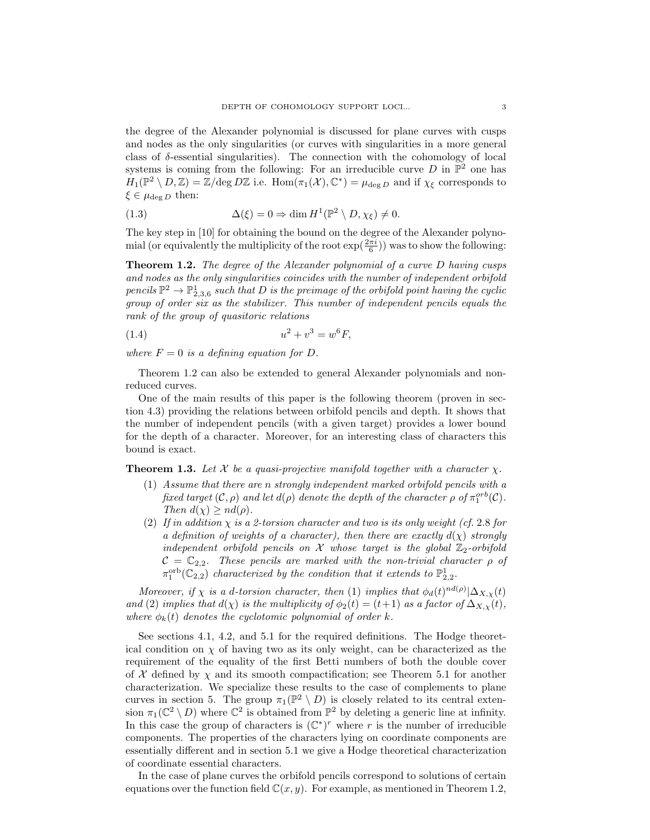the degree of the Alexander polynomial is discussed for plane curves with cusps and nodes as the only singularities (or curves with singularities in a more general class of  $\delta$ -essential singularities). The connection with the cohomology of local systems is coming from the following: For an irreducible curve  $D$  in  $\mathbb{P}^2$  one has  $H_1(\mathbb{P}^2 \setminus D, \mathbb{Z}) = \mathbb{Z}/\text{deg }D\mathbb{Z}$  i.e.  $\text{Hom}(\pi_1(\mathcal{X}), \mathbb{C}^*) = \mu_{\text{deg }D}$  and if  $\chi_{\xi}$  corresponds to  $\xi \in \mu_{\text{deg }D}$  then:

(1.3) 
$$
\Delta(\xi) = 0 \Rightarrow \dim H^1(\mathbb{P}^2 \setminus D, \chi_{\xi}) \neq 0.
$$

The key step in [10] for obtaining the bound on the degree of the Alexander polynomial (or equivalently the multiplicity of the root  $\exp(\frac{2\pi i}{6})$ ) was to show the following:

**Theorem 1.2.** The degree of the Alexander polynomial of a curve D having cusps and nodes as the only singularities coincides with the number of independent orbifold pencils  $\mathbb{P}^2 \to \mathbb{P}^1_{2,3,6}$  such that D is the preimage of the orbifold point having the cyclic group of order six as the stabilizer. This number of independent pencils equals the rank of the group of quasitoric relations

(1.4) 
$$
u^2 + v^3 = w^6 F,
$$

where  $F = 0$  is a defining equation for D.

Theorem 1.2 can also be extended to general Alexander polynomials and nonreduced curves.

One of the main results of this paper is the following theorem (proven in section 4.3) providing the relations between orbifold pencils and depth. It shows that the number of independent pencils (with a given target) provides a lower bound for the depth of a character. Moreover, for an interesting class of characters this bound is exact.

**Theorem 1.3.** Let X be a quasi-projective manifold together with a character  $\chi$ .

- (1) Assume that there are n strongly independent marked orbifold pencils with a fixed target  $(C, \rho)$  and let  $d(\rho)$  denote the depth of the character  $\rho$  of  $\pi_1^{orb}(C)$ . Then  $d(\chi) \geq nd(\rho)$ .
- (2) If in addition  $\chi$  is a 2-torsion character and two is its only weight (cf. 2.8 for a definition of weights of a character), then there are exactly  $d(\chi)$  strongly independent orbifold pencils on  $\mathcal X$  whose target is the global  $\mathbb Z_2$ -orbifold  $C = \mathbb{C}_{2,2}$ . These pencils are marked with the non-trivial character  $\rho$  of  $\pi_1^{\text{orb}}(\mathbb{C}_{2,2})$  characterized by the condition that it extends to  $\mathbb{P}^1_{2,2}$ .

Moreover, if  $\chi$  is a d-torsion character, then (1) implies that  $\phi_d(t)^{nd(\rho)}|\Delta_{X,\chi}(t)$ and (2) implies that  $d(\chi)$  is the multiplicity of  $\phi_2(t)=(t+1)$  as a factor of  $\Delta_{X,\chi}(t)$ , where  $\phi_k(t)$  denotes the cyclotomic polynomial of order k.

See sections 4.1, 4.2, and 5.1 for the required definitions. The Hodge theoretical condition on  $\chi$  of having two as its only weight, can be characterized as the requirement of the equality of the first Betti numbers of both the double cover of  $\mathcal X$  defined by  $\chi$  and its smooth compactification; see Theorem 5.1 for another characterization. We specialize these results to the case of complements to plane curves in section 5. The group  $\pi_1(\mathbb{P}^2 \setminus D)$  is closely related to its central extension  $\pi_1(\mathbb{C}^2 \setminus D)$  where  $\mathbb{C}^2$  is obtained from  $\mathbb{P}^2$  by deleting a generic line at infinity. In this case the group of characters is  $(\mathbb{C}^*)^r$  where r is the number of irreducible components. The properties of the characters lying on coordinate components are essentially different and in section 5.1 we give a Hodge theoretical characterization of coordinate essential characters.

In the case of plane curves the orbifold pencils correspond to solutions of certain equations over the function field  $\mathbb{C}(x, y)$ . For example, as mentioned in Theorem 1.2,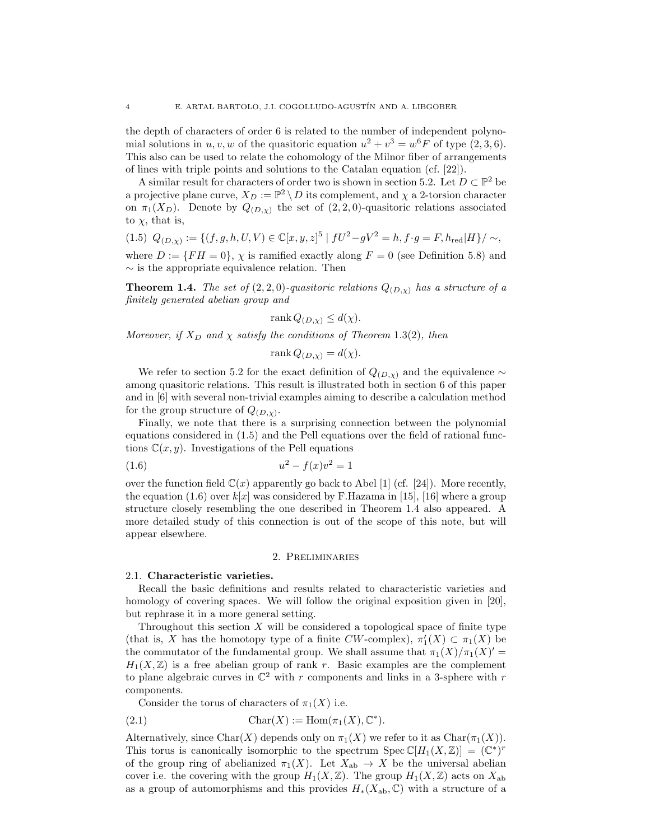the depth of characters of order 6 is related to the number of independent polynomial solutions in  $u, v, w$  of the quasitoric equation  $u^2 + v^3 = w^6 F$  of type  $(2, 3, 6)$ . This also can be used to relate the cohomology of the Milnor fiber of arrangements of lines with triple points and solutions to the Catalan equation (cf. [22]).

A similar result for characters of order two is shown in section 5.2. Let  $D \subset \mathbb{P}^2$  be a projective plane curve,  $X_D := \mathbb{P}^2 \setminus D$  its complement, and  $\chi$  a 2-torsion character on  $\pi_1(X_D)$ . Denote by  $Q_{(D,\chi)}$  the set of  $(2, 2, 0)$ -quasitoric relations associated to  $\chi$ , that is,

$$
(1.5) \ Q_{(D,\chi)} := \{ (f,g,h,U,V) \in \mathbb{C}[x,y,z]^5 \mid fU^2 - gV^2 = h, f \cdot g = F, h_{\text{red}} |H \} / \sim,
$$

where  $D := \{FH = 0\}$ ,  $\chi$  is ramified exactly along  $F = 0$  (see Definition 5.8) and  $\sim$  is the appropriate equivalence relation. Then

**Theorem 1.4.** The set of  $(2, 2, 0)$ -quasitoric relations  $Q_{(D,x)}$  has a structure of a finitely generated abelian group and

$$
rank Q_{(D,\chi)} \le d(\chi).
$$

Moreover, if  $X_D$  and  $\chi$  satisfy the conditions of Theorem 1.3(2), then

$$
rank Q_{(D,\chi)} = d(\chi).
$$

We refer to section 5.2 for the exact definition of  $Q_{(D,\chi)}$  and the equivalence ∼ among quasitoric relations. This result is illustrated both in section 6 of this paper and in [6] with several non-trivial examples aiming to describe a calculation method for the group structure of  $Q_{(D,\chi)}$ .

Finally, we note that there is a surprising connection between the polynomial equations considered in (1.5) and the Pell equations over the field of rational functions  $\mathbb{C}(x, y)$ . Investigations of the Pell equations

(1.6) 
$$
u^2 - f(x)v^2 = 1
$$

over the function field  $\mathbb{C}(x)$  apparently go back to Abel [1] (cf. [24]). More recently, the equation (1.6) over  $k[x]$  was considered by F.Hazama in [15], [16] where a group structure closely resembling the one described in Theorem 1.4 also appeared. A more detailed study of this connection is out of the scope of this note, but will appear elsewhere.

## 2. Preliminaries

#### 2.1. Characteristic varieties.

Recall the basic definitions and results related to characteristic varieties and homology of covering spaces. We will follow the original exposition given in [20], but rephrase it in a more general setting.

Throughout this section X will be considered a topological space of finite type (that is, X has the homotopy type of a finite  $CW$ -complex),  $\pi'_1(X) \subset \pi_1(X)$  be the commutator of the fundamental group. We shall assume that  $\pi_1(X)/\pi_1(X)' =$  $H_1(X,\mathbb{Z})$  is a free abelian group of rank r. Basic examples are the complement to plane algebraic curves in  $\mathbb{C}^2$  with r components and links in a 3-sphere with r components.

Consider the torus of characters of  $\pi_1(X)$  i.e.

$$
(2.1) \t\t \text{Char}(X) := \text{Hom}(\pi_1(X), \mathbb{C}^*).
$$

Alternatively, since Char(X) depends only on  $\pi_1(X)$  we refer to it as Char( $\pi_1(X)$ ). This torus is canonically isomorphic to the spectrum  $Spec \mathbb{C}[H_1(X,\mathbb{Z})] = (\mathbb{C}^*)^r$ of the group ring of abelianized  $\pi_1(X)$ . Let  $X_{ab} \to X$  be the universal abelian cover i.e. the covering with the group  $H_1(X,\mathbb{Z})$ . The group  $H_1(X,\mathbb{Z})$  acts on  $X_{ab}$ as a group of automorphisms and this provides  $H_*(X_{ab}, \mathbb{C})$  with a structure of a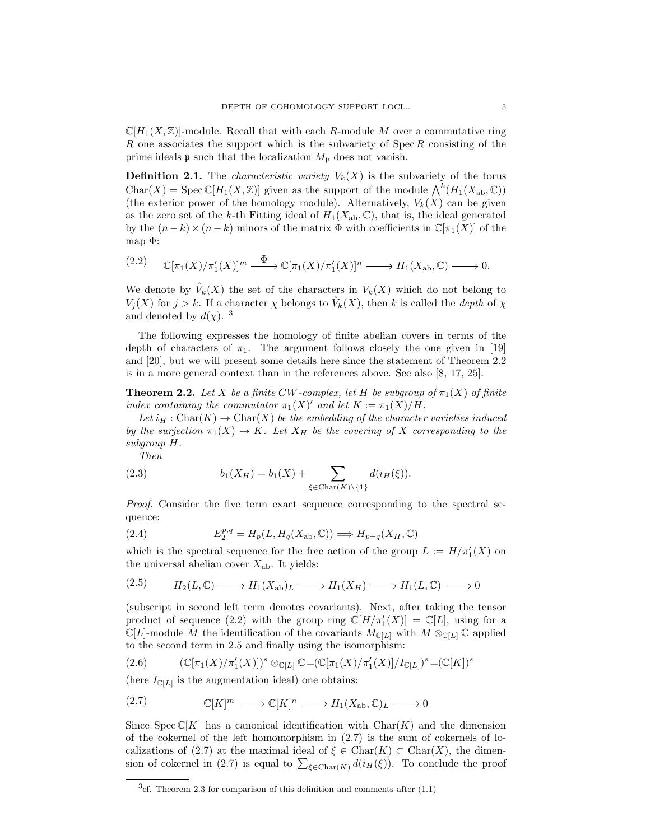$\mathbb{C}[H_1(X,\mathbb{Z})]$ -module. Recall that with each R-module M over a commutative ring R one associates the support which is the subvariety of  $Spec R$  consisting of the prime ideals **p** such that the localization  $M_{\mathfrak{p}}$  does not vanish.

**Definition 2.1.** The *characteristic variety*  $V_k(X)$  is the subvariety of the torus Char(X) = Spec  $\mathbb{C}[H_1(X,\mathbb{Z})]$  given as the support of the module  $\bigwedge^k(H_1(X_{ab},\mathbb{C}))$ (the exterior power of the homology module). Alternatively,  $V_k(X)$  can be given as the zero set of the k-th Fitting ideal of  $H_1(X_{ab}, \mathbb{C})$ , that is, the ideal generated by the  $(n-k)\times (n-k)$  minors of the matrix  $\Phi$  with coefficients in  $\mathbb{C}[\pi_1(X)]$  of the map  $\Phi$ :

$$
(2.2) \qquad \mathbb{C}[\pi_1(X)/\pi'_1(X)]^m \xrightarrow{\Phi} \mathbb{C}[\pi_1(X)/\pi'_1(X)]^n \longrightarrow H_1(X_{\text{ab}}, \mathbb{C}) \longrightarrow 0.
$$

We denote by  $\mathring{V}_k(X)$  the set of the characters in  $V_k(X)$  which do not belong to  $V_j(X)$  for  $j > k$ . If a character  $\chi$  belongs to  $\mathring{V}_k(X)$ , then k is called the *depth* of  $\chi$ and denoted by  $d(\chi)$ .<sup>3</sup>

The following expresses the homology of finite abelian covers in terms of the depth of characters of  $\pi_1$ . The argument follows closely the one given in [19] and [20], but we will present some details here since the statement of Theorem 2.2 is in a more general context than in the references above. See also [8, 17, 25].

**Theorem 2.2.** Let X be a finite CW-complex, let H be subgroup of  $\pi_1(X)$  of finite index containing the commutator  $\pi_1(X)'$  and let  $K := \pi_1(X)/H$ .

Let  $i_H : \text{Char}(K) \to \text{Char}(X)$  be the embedding of the character varieties induced by the surjection  $\pi_1(X) \to K$ . Let  $X_H$  be the covering of X corresponding to the subgroup H.

Then

(2.3) 
$$
b_1(X_H) = b_1(X) + \sum_{\xi \in \text{Char}(K) \setminus \{1\}} d(i_H(\xi)).
$$

Proof. Consider the five term exact sequence corresponding to the spectral sequence:

(2.4) 
$$
E_2^{p,q} = H_p(L, H_q(X_{ab}, \mathbb{C})) \Longrightarrow H_{p+q}(X_H, \mathbb{C})
$$

which is the spectral sequence for the free action of the group  $L := H/\pi'_1(X)$  on the universal abelian cover  $X_{ab}$ . It yields:

$$
(2.5) \t H_2(L,\mathbb{C}) \longrightarrow H_1(X_{\text{ab}})_L \longrightarrow H_1(X_H) \longrightarrow H_1(L,\mathbb{C}) \longrightarrow 0
$$

(subscript in second left term denotes covariants). Next, after taking the tensor product of sequence (2.2) with the group ring  $\mathbb{C}[H/\pi'_1(X)] = \mathbb{C}[L]$ , using for a  $\mathbb{C}[L]$ -module M the identification of the covariants  $M_{\mathbb{C}[L]}$  with  $M \otimes_{\mathbb{C}[L]} \mathbb{C}$  applied to the second term in 2.5 and finally using the isomorphism:

(2.6) 
$$
(\mathbb{C}[\pi_1(X)/\pi'_1(X)])^s \otimes_{\mathbb{C}[L]} \mathbb{C} = (\mathbb{C}[\pi_1(X)/\pi'_1(X)]/I_{\mathbb{C}[L]})^s = (\mathbb{C}[K])^s
$$

(here  $I_{\mathbb{C}[L]}$  is the augmentation ideal) one obtains:

(2.7) 
$$
\mathbb{C}[K]^m \longrightarrow \mathbb{C}[K]^n \longrightarrow H_1(X_{\text{ab}}, \mathbb{C})_L \longrightarrow 0
$$

Since Spec  $\mathbb{C}[K]$  has a canonical identification with  $\text{Char}(K)$  and the dimension of the cokernel of the left homomorphism in (2.7) is the sum of cokernels of localizations of (2.7) at the maximal ideal of  $\xi \in \text{Char}(K) \subset \text{Char}(X)$ , the dimension of cokernel in (2.7) is equal to  $\sum_{\xi \in \text{Char}(K)} d(i_H(\xi))$ . To conclude the proof

 $3c$ <sub>f</sub>. Theorem 2.3 for comparison of this definition and comments after  $(1.1)$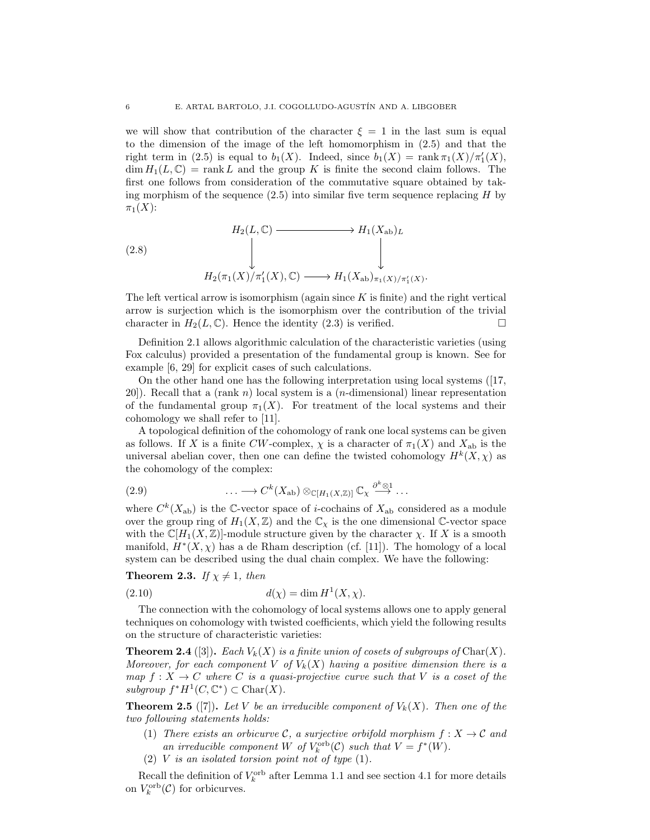we will show that contribution of the character  $\xi = 1$  in the last sum is equal to the dimension of the image of the left homomorphism in (2.5) and that the right term in (2.5) is equal to  $b_1(X)$ . Indeed, since  $b_1(X) = \text{rank } \pi_1(X)/\pi'_1(X)$ ,  $\dim H_1(L,\mathbb{C}) = \text{rank } L$  and the group K is finite the second claim follows. The first one follows from consideration of the commutative square obtained by taking morphism of the sequence  $(2.5)$  into similar five term sequence replacing  $H$  by  $\pi_1(X)$ :

(2.8)  
\n
$$
H_2(L, \mathbb{C}) \longrightarrow H_1(X_{\text{ab}})_L
$$
\n
$$
\downarrow \qquad \qquad \downarrow
$$
\n
$$
H_2(\pi_1(X)/\pi_1'(X), \mathbb{C}) \longrightarrow H_1(X_{\text{ab}})_{\pi_1(X)/\pi_1'(X)}.
$$

The left vertical arrow is isomorphism (again since  $K$  is finite) and the right vertical arrow is surjection which is the isomorphism over the contribution of the trivial character in  $H_2(L, \mathbb{C})$ . Hence the identity (2.3) is verified.

Definition 2.1 allows algorithmic calculation of the characteristic varieties (using Fox calculus) provided a presentation of the fundamental group is known. See for example [6, 29] for explicit cases of such calculations.

On the other hand one has the following interpretation using local systems ([17,  $20$ ). Recall that a (rank n) local system is a (*n*-dimensional) linear representation of the fundamental group  $\pi_1(X)$ . For treatment of the local systems and their cohomology we shall refer to [11].

A topological definition of the cohomology of rank one local systems can be given as follows. If X is a finite CW-complex,  $\chi$  is a character of  $\pi_1(X)$  and  $X_{ab}$  is the universal abelian cover, then one can define the twisted cohomology  $H^k(X, \chi)$  as the cohomology of the complex:

(2.9) 
$$
\cdots \longrightarrow C^k(X_{\mathrm{ab}}) \otimes_{\mathbb{C}[H_1(X,\mathbb{Z})]} \mathbb{C}_{\chi} \stackrel{\partial^k \otimes 1}{\longrightarrow} \cdots
$$

where  $C^{k}(X_{ab})$  is the C-vector space of *i*-cochains of  $X_{ab}$  considered as a module over the group ring of  $H_1(X,\mathbb{Z})$  and the  $\mathbb{C}_{\chi}$  is the one dimensional  $\mathbb{C}$ -vector space with the  $\mathbb{C}[H_1(X,\mathbb{Z})]$ -module structure given by the character  $\chi$ . If X is a smooth manifold,  $H^*(X, \chi)$  has a de Rham description (cf. [11]). The homology of a local system can be described using the dual chain complex. We have the following:

**Theorem 2.3.** If  $\chi \neq 1$ , then

$$
d(\chi) = \dim H^1(X, \chi).
$$

The connection with the cohomology of local systems allows one to apply general techniques on cohomology with twisted coefficients, which yield the following results on the structure of characteristic varieties:

**Theorem 2.4** ([3]). Each  $V_k(X)$  is a finite union of cosets of subgroups of Char(X). Moreover, for each component V of  $V_k(X)$  having a positive dimension there is a map  $f: X \to C$  where C is a quasi-projective curve such that V is a coset of the subgroup  $f^*H^1(C,\mathbb{C}^*)\subset \text{Char}(X)$ .

**Theorem 2.5** ([7]). Let V be an irreducible component of  $V_k(X)$ . Then one of the two following statements holds:

- (1) There exists an orbicurve C, a surjective orbifold morphism  $f: X \to \mathcal{C}$  and an irreducible component W of  $V_k^{\text{orb}}(\mathcal{C})$  such that  $V = f^*(W)$ .
- (2) V is an isolated torsion point not of type  $(1)$ .

Recall the definition of  $V_k^{\text{orb}}$  after Lemma 1.1 and see section 4.1 for more details on  $V_k^{\text{orb}}(\mathcal{C})$  for orbicurves.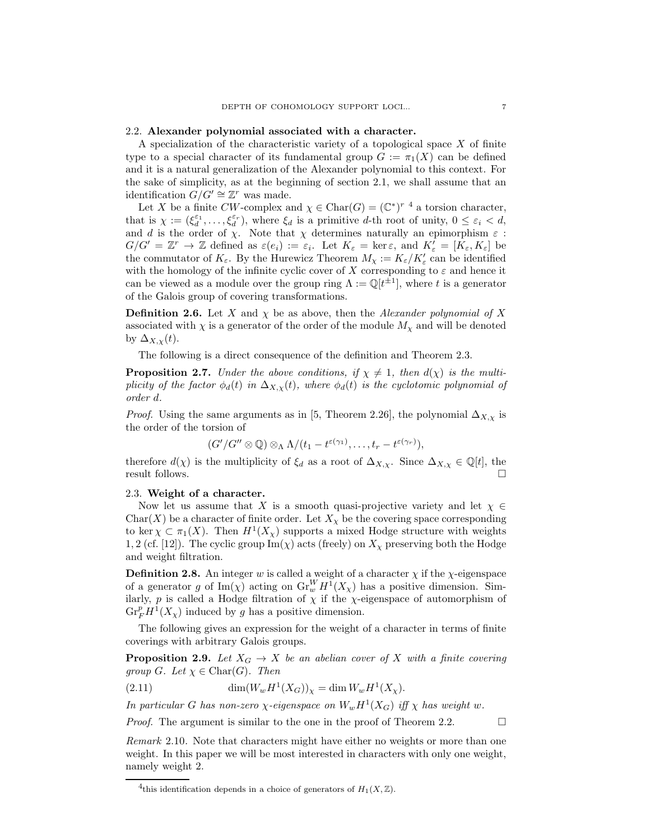## 2.2. Alexander polynomial associated with a character.

A specialization of the characteristic variety of a topological space  $X$  of finite type to a special character of its fundamental group  $G := \pi_1(X)$  can be defined and it is a natural generalization of the Alexander polynomial to this context. For the sake of simplicity, as at the beginning of section 2.1, we shall assume that an identification  $G/G' \cong \mathbb{Z}^r$  was made.

Let X be a finite CW-complex and  $\chi \in \text{Char}(G)=(\mathbb{C}^*)^{r-4}$  a torsion character, that is  $\chi := (\xi_d^{\varepsilon_1}, \ldots, \xi_d^{\varepsilon_r})$ , where  $\xi_d$  is a primitive d-th root of unity,  $0 \le \varepsilon_i < d$ , and d is the order of  $\chi$ . Note that  $\chi$  determines naturally an epimorphism  $\varepsilon$ :  $G/G' = \mathbb{Z}^r \to \mathbb{Z}$  defined as  $\varepsilon(e_i) := \varepsilon_i$ . Let  $K_{\varepsilon} = \ker \varepsilon$ , and  $K'_{\varepsilon} = [K_{\varepsilon}, K_{\varepsilon}]$  be the commutator of  $K_{\varepsilon}$ . By the Hurewicz Theorem  $M_{\chi} := K_{\varepsilon}/K'_{\varepsilon}$  can be identified with the homology of the infinite cyclic cover of X corresponding to  $\varepsilon$  and hence it can be viewed as a module over the group ring  $\Lambda := \mathbb{Q}[t^{\pm 1}]$ , where t is a generator of the Galois group of covering transformations.

**Definition 2.6.** Let X and  $\chi$  be as above, then the Alexander polynomial of X associated with  $\chi$  is a generator of the order of the module  $M_{\chi}$  and will be denoted by  $\Delta_{X,\chi}(t)$ .

The following is a direct consequence of the definition and Theorem 2.3.

**Proposition 2.7.** Under the above conditions, if  $\chi \neq 1$ , then  $d(\chi)$  is the multiplicity of the factor  $\phi_d(t)$  in  $\Delta_{X,x}(t)$ , where  $\phi_d(t)$  is the cyclotomic polynomial of order d.

*Proof.* Using the same arguments as in [5, Theorem 2.26], the polynomial  $\Delta_{X,\chi}$  is the order of the torsion of

$$
(G'/G''\otimes\mathbb{Q})\otimes_{\Lambda}\Lambda/(t_1-t^{\varepsilon(\gamma_1)},\ldots,t_r-t^{\varepsilon(\gamma_r)}),
$$

therefore  $d(\chi)$  is the multiplicity of  $\xi_d$  as a root of  $\Delta_{X,\chi}$ . Since  $\Delta_{X,\chi} \in \mathbb{Q}[t]$ , the result follows result follows.

## 2.3. Weight of a character.

Now let us assume that X is a smooth quasi-projective variety and let  $\chi \in$ Char(X) be a character of finite order. Let  $X_{\chi}$  be the covering space corresponding to ker  $\chi \subset \pi_1(X)$ . Then  $H^1(X_\chi)$  supports a mixed Hodge structure with weights 1, 2 (cf. [12]). The cyclic group  $\text{Im}(\chi)$  acts (freely) on  $X_{\chi}$  preserving both the Hodge and weight filtration.

**Definition 2.8.** An integer w is called a weight of a character  $\chi$  if the  $\chi$ -eigenspace of a generator g of  $\text{Im}(\chi)$  acting on  $\text{Gr}_{w}^{W} H^{1}(X_{\chi})$  has a positive dimension. Similarly, p is called a Hodge filtration of  $\chi$  if the  $\chi$ -eigenspace of automorphism of  $\mathrm{Gr}_F^p H^1(X_\chi)$  induced by g has a positive dimension.

The following gives an expression for the weight of a character in terms of finite coverings with arbitrary Galois groups.

**Proposition 2.9.** Let  $X_G \to X$  be an abelian cover of X with a finite covering group G. Let  $\chi \in \text{Char}(G)$ . Then

(2.11) 
$$
\dim(W_w H^1(X_G))_{\chi} = \dim W_w H^1(X_{\chi}).
$$

In particular G has non-zero  $\chi$ -eigenspace on  $W_w H^1(X_G)$  iff  $\chi$  has weight w.

*Proof.* The argument is similar to the one in the proof of Theorem 2.2.  $\Box$ 

Remark 2.10. Note that characters might have either no weights or more than one weight. In this paper we will be most interested in characters with only one weight, namely weight 2.

<sup>&</sup>lt;sup>4</sup>this identification depends in a choice of generators of  $H_1(X,\mathbb{Z})$ .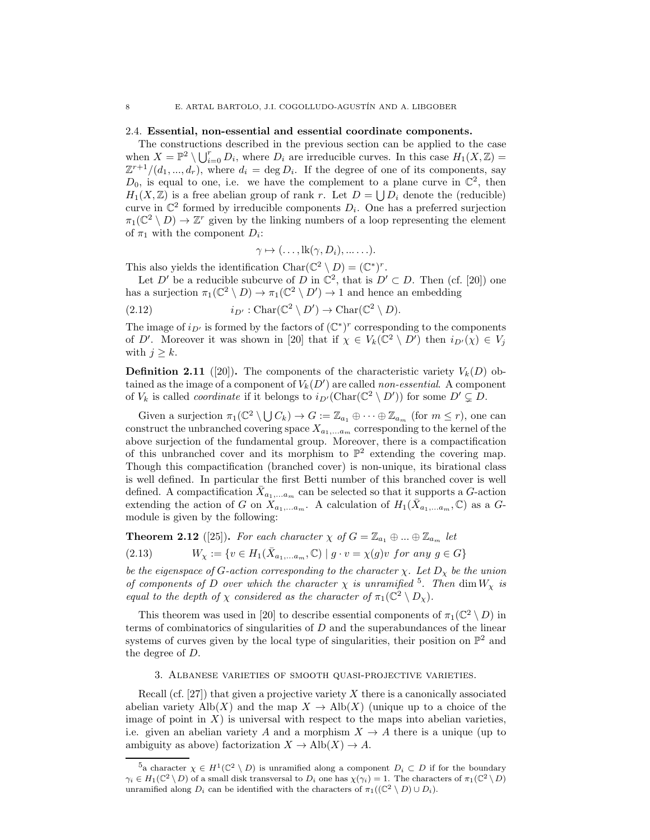# 2.4. Essential, non-essential and essential coordinate components.

The constructions described in the previous section can be applied to the case when  $X = \mathbb{P}^2 \setminus \bigcup_{i=0}^r D_i$ , where  $D_i$  are irreducible curves. In this case  $H_1(X, \mathbb{Z}) =$  $\mathbb{Z}^{r+1}/(d_1, ..., d_r)$ , where  $d_i = \deg D_i$ . If the degree of one of its components, say  $D_0$ , is equal to one, i.e. we have the complement to a plane curve in  $\mathbb{C}^2$ , then  $H_1(X,\mathbb{Z})$  is a free abelian group of rank r. Let  $D = \bigcup D_i$  denote the (reducible) curve in  $\mathbb{C}^2$  formed by irreducible components  $D_i$ . One has a preferred surjection  $\pi_1(\mathbb{C}^2 \setminus D) \to \mathbb{Z}^r$  given by the linking numbers of a loop representing the element of  $\pi_1$  with the component  $D_i$ :

$$
\gamma \mapsto (\ldots, \mathrm{lk}(\gamma, D_i), \ldots \ldots).
$$

This also yields the identification  $Char(\mathbb{C}^2 \setminus D) = (\mathbb{C}^*)^r$ .

Let D' be a reducible subcurve of D in  $\mathbb{C}^2$ , that is  $D' \subset D$ . Then (cf. [20]) one has a surjection  $\pi_1(\mathbb{C}^2 \setminus D) \to \pi_1(\mathbb{C}^2 \setminus D') \to 1$  and hence an embedding

(2.12) 
$$
i_{D'} : \text{Char}(\mathbb{C}^2 \setminus D') \to \text{Char}(\mathbb{C}^2 \setminus D).
$$

The image of  $i_{D'}$  is formed by the factors of  $(\mathbb{C}^*)^r$  corresponding to the components of D'. Moreover it was shown in [20] that if  $\chi \in V_k(\mathbb{C}^2 \setminus D')$  then  $i_{D'}(\chi) \in V_j$ with  $j > k$ .

**Definition 2.11** ([20]). The components of the characteristic variety  $V_k(D)$  obtained as the image of a component of  $V_k(D')$  are called *non-essential*. A component of  $V_k$  is called *coordinate* if it belongs to  $i_{D'}(\text{Char}(\mathbb{C}^2 \setminus D'))$  for some  $D' \subsetneq D$ .

Given a surjection  $\pi_1(\mathbb{C}^2 \setminus \bigcup C_k) \to G := \mathbb{Z}_{a_1} \oplus \cdots \oplus \mathbb{Z}_{a_m}$  (for  $m \leq r$ ), one can construct the unbranched covering space  $X_{a_1,...a_m}$  corresponding to the kernel of the above surjection of the fundamental group. Moreover, there is a compactification of this unbranched cover and its morphism to  $\mathbb{P}^2$  extending the covering map. Though this compactification (branched cover) is non-unique, its birational class is well defined. In particular the first Betti number of this branched cover is well defined. A compactification  $\bar{X}_{a_1,...a_m}$  can be selected so that it supports a G-action extending the action of G on  $X_{a_1,...a_m}$ . A calculation of  $H_1(\bar{X}_{a_1,...a_m}, \mathbb{C})$  as a Gmodule is given by the following:

**Theorem 2.12** ([25]). For each character  $\chi$  of  $G = \mathbb{Z}_{a_1} \oplus ... \oplus \mathbb{Z}_{a_m}$  let

(2.13) 
$$
W_{\chi} := \{ v \in H_1(\bar{X}_{a_1,...a_m}, \mathbb{C}) \mid g \cdot v = \chi(g)v \text{ for any } g \in G \}
$$

be the eigenspace of G-action corresponding to the character  $\chi$ . Let  $D_{\chi}$  be the union of components of D over which the character  $\chi$  is unramified <sup>5</sup>. Then dim  $W_{\chi}$  is equal to the depth of  $\chi$  considered as the character of  $\pi_1(\mathbb{C}^2 \setminus D_{\chi})$ .

This theorem was used in [20] to describe essential components of  $\pi_1(\mathbb{C}^2 \setminus D)$  in terms of combinatorics of singularities of  $D$  and the superabundances of the linear systems of curves given by the local type of singularities, their position on  $\mathbb{P}^2$  and the degree of D.

3. Albanese varieties of smooth quasi-projective varieties.

Recall (cf.  $[27]$ ) that given a projective variety X there is a canonically associated abelian variety  $\text{Alb}(X)$  and the map  $X \to \text{Alb}(X)$  (unique up to a choice of the image of point in  $X$ ) is universal with respect to the maps into abelian varieties, i.e. given an abelian variety A and a morphism  $X \to A$  there is a unique (up to ambiguity as above) factorization  $X \to Alb(X) \to A$ .

 $5a$  character  $\chi \in H^1(\mathbb{C}^2 \setminus D)$  is unramified along a component  $D_i \subset D$  if for the boundary  $\gamma_i \in H_1(\mathbb{C}^2 \setminus D)$  of a small disk transversal to  $D_i$  one has  $\chi(\gamma_i) = 1$ . The characters of  $\pi_1(\mathbb{C}^2 \setminus D)$ unramified along  $D_i$  can be identified with the characters of  $\pi_1((\mathbb{C}^2 \setminus D) \cup D_i)$ .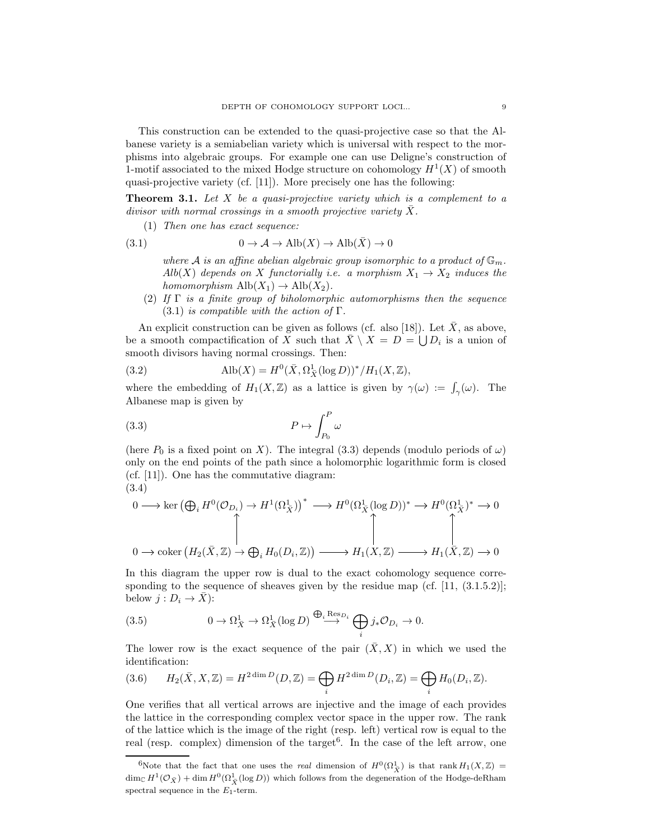This construction can be extended to the quasi-projective case so that the Albanese variety is a semiabelian variety which is universal with respect to the morphisms into algebraic groups. For example one can use Deligne's construction of 1-motif associated to the mixed Hodge structure on cohomology  $H<sup>1</sup>(X)$  of smooth quasi-projective variety (cf. [11]). More precisely one has the following:

**Theorem 3.1.** Let X be a quasi-projective variety which is a complement to a divisor with normal crossings in a smooth projective variety  $\overline{X}$ .

(1) Then one has exact sequence:

(3.1) 
$$
0 \to \mathcal{A} \to \text{Alb}(X) \to \text{Alb}(\bar{X}) \to 0
$$

where A is an affine abelian algebraic group isomorphic to a product of  $\mathbb{G}_m$ . Alb(X) depends on X functorially i.e. a morphism  $X_1 \rightarrow X_2$  induces the homomorphism  $\text{Alb}(X_1) \rightarrow \text{Alb}(X_2)$ .

(2) If  $\Gamma$  is a finite group of biholomorphic automorphisms then the sequence  $(3.1)$  is compatible with the action of  $\Gamma$ .

An explicit construction can be given as follows (cf. also [18]). Let  $\bar{X}$ , as above, be a smooth compactification of X such that  $\bar{X} \setminus X = D = \bigcup D_i$  is a union of smooth divisors having normal crossings. Then:

(3.2) 
$$
\text{Alb}(X) = H^0(\bar{X}, \Omega^1_{\bar{X}}(\log D))^* / H_1(X, \mathbb{Z}),
$$

where the embedding of  $H_1(X,\mathbb{Z})$  as a lattice is given by  $\gamma(\omega) := \int_{\gamma}(\omega)$ . The Albanese map is given by

$$
(3.3)\t\t\t P \mapsto \int_{P_0}^P \omega
$$

(here  $P_0$  is a fixed point on X). The integral (3.3) depends (modulo periods of  $\omega$ ) only on the end points of the path since a holomorphic logarithmic form is closed (cf. [11]). One has the commutative diagram: (3.4)

$$
\begin{array}{ccc}\n0 \longrightarrow \ker \left(\bigoplus_{i} H^{0}(\mathcal{O}_{D_{i}}) \rightarrow H^{1}(\Omega_{\bar{X}}^{1})\right)^{*} & \longrightarrow H^{0}(\Omega_{\bar{X}}^{1}(\log D))^{*} \rightarrow H^{0}(\Omega_{\bar{X}}^{1})^{*} \rightarrow 0 \\
\updownarrow & \updownarrow & \updownarrow & \updownarrow & \updownarrow \\
0 \longrightarrow \operatorname{coker} \left(H_{2}(\bar{X}, \mathbb{Z}) \rightarrow \bigoplus_{i} H_{0}(D_{i}, \mathbb{Z})\right) & \longrightarrow H_{1}(X, \mathbb{Z}) & \longrightarrow H_{1}(\bar{X}, \mathbb{Z}) \rightarrow 0\n\end{array}
$$

In this diagram the upper row is dual to the exact cohomology sequence corresponding to the sequence of sheaves given by the residue map (cf.  $[11, (3.1.5.2)]$ ; below  $j: D_i \to \overline{X}$ :

(3.5) 
$$
0 \to \Omega^1_{\bar{X}} \to \Omega^1_{\bar{X}}(\log D) \stackrel{\bigoplus_i \text{Res}_{D_i}}{\longrightarrow} \bigoplus_i j_* \mathcal{O}_{D_i} \to 0.
$$

The lower row is the exact sequence of the pair  $(\bar{X}, X)$  in which we used the identification:

(3.6) 
$$
H_2(\bar{X}, X, \mathbb{Z}) = H^{2 \dim D}(D, \mathbb{Z}) = \bigoplus_i H^{2 \dim D}(D_i, \mathbb{Z}) = \bigoplus_i H_0(D_i, \mathbb{Z}).
$$

One verifies that all vertical arrows are injective and the image of each provides the lattice in the corresponding complex vector space in the upper row. The rank of the lattice which is the image of the right (resp. left) vertical row is equal to the real (resp. complex) dimension of the target<sup>6</sup>. In the case of the left arrow, one

<sup>&</sup>lt;sup>6</sup>Note that the fact that one uses the *real* dimension of  $H^0(\Omega^1_{\bar{X}})$  is that rank  $H_1(X,\mathbb{Z}) =$  $\dim_{\mathbb{C}} H^1(\mathcal{O}_{\bar{X}}) + \dim H^0(\Omega^1_{\bar{X}}(\log D))$  which follows from the degeneration of the Hodge-deRham spectral sequence in the  $E_1$ -term.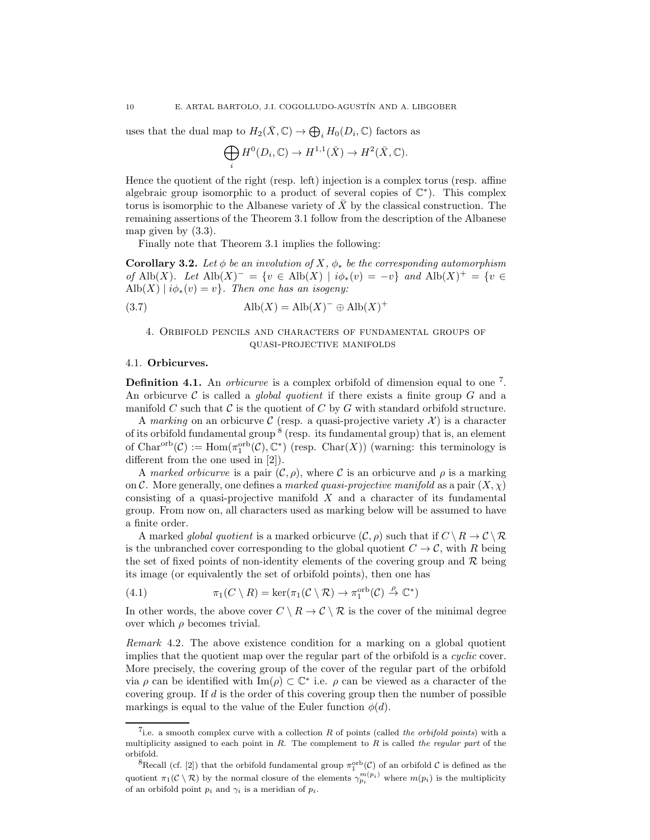uses that the dual map to  $H_2(\bar{X}, \mathbb{C}) \to \bigoplus_i H_0(D_i, \mathbb{C})$  factors as

$$
\bigoplus_i H^0(D_i,\mathbb{C}) \to H^{1,1}(\bar{X}) \to H^2(\bar{X},\mathbb{C}).
$$

Hence the quotient of the right (resp. left) injection is a complex torus (resp. affine algebraic group isomorphic to a product of several copies of  $\mathbb{C}^*$ ). This complex torus is isomorphic to the Albanese variety of  $\overline{X}$  by the classical construction. The remaining assertions of the Theorem 3.1 follow from the description of the Albanese map given by (3.3).

Finally note that Theorem 3.1 implies the following:

**Corollary 3.2.** Let  $\phi$  be an involution of X,  $\phi_*$  be the corresponding automorphism of Alb(X). Let  $\text{Alb}(X)^{-} = \{v \in \text{Alb}(X) \mid i\phi_*(v) = -v\}$  and  $\text{Alb}(X)^{+} = \{v \in$  $\text{Alb}(X) | i\phi_*(v) = v$ . Then one has an isogeny:

(3.7) 
$$
\text{Alb}(X) = \text{Alb}(X)^{-} \oplus \text{Alb}(X)^{+}
$$

# 4. Orbifold pencils and characters of fundamental groups of quasi-projective manifolds

#### 4.1. Orbicurves.

**Definition 4.1.** An *orbicurve* is a complex orbifold of dimension equal to one  $^7$ . An orbicurve  $\mathcal C$  is called a *global quotient* if there exists a finite group  $G$  and a manifold C such that C is the quotient of C by G with standard orbifold structure.

A marking on an orbicurve C (resp. a quasi-projective variety  $\mathcal{X}$ ) is a character of its orbifold fundamental group  $8$  (resp. its fundamental group) that is, an element of Char<sup>orb</sup> $(C) := \text{Hom}(\pi_1^{\text{orb}}(C), \mathbb{C}^*)$  (resp. Char $(X)$ ) (warning: this terminology is different from the one used in [2]).

A marked orbicurve is a pair  $(C, \rho)$ , where C is an orbicurve and  $\rho$  is a marking on C. More generally, one defines a marked quasi-projective manifold as a pair  $(X, \chi)$ consisting of a quasi-projective manifold  $X$  and a character of its fundamental group. From now on, all characters used as marking below will be assumed to have a finite order.

A marked *global quotient* is a marked orbicurve  $(C, \rho)$  such that if  $C \setminus R \to C \setminus R$ is the unbranched cover corresponding to the global quotient  $C \to \mathcal{C}$ , with R being the set of fixed points of non-identity elements of the covering group and  $\mathcal{R}$  being its image (or equivalently the set of orbifold points), then one has

(4.1) 
$$
\pi_1(C \setminus R) = \ker(\pi_1(C \setminus R) \to \pi_1^{\text{orb}}(C) \stackrel{\rho}{\to} \mathbb{C}^*)
$$

In other words, the above cover  $C \setminus R \to C \setminus R$  is the cover of the minimal degree over which  $\rho$  becomes trivial.

Remark 4.2. The above existence condition for a marking on a global quotient implies that the quotient map over the regular part of the orbifold is a *cyclic* cover. More precisely, the covering group of the cover of the regular part of the orbifold via  $\rho$  can be identified with Im( $\rho$ )  $\subset \mathbb{C}^*$  i.e.  $\rho$  can be viewed as a character of the covering group. If  $d$  is the order of this covering group then the number of possible markings is equal to the value of the Euler function  $\phi(d)$ .

<sup>&</sup>lt;sup>7</sup>i.e. a smooth complex curve with a collection  $R$  of points (called the orbifold points) with a multiplicity assigned to each point in R. The complement to R is called the regular part of the orbifold.

<sup>&</sup>lt;sup>8</sup>Recall (cf. [2]) that the orbifold fundamental group  $\pi_1^{\text{orb}}(\mathcal{C})$  of an orbifold  $\mathcal C$  is defined as the quotient  $\pi_1(\mathcal{C}\setminus\mathcal{R})$  by the normal closure of the elements  $\gamma_{p_i}^{m(p_i)}$  where  $m(p_i)$  is the multiplicity of an orbifold point  $p_i$  and  $\gamma_i$  is a meridian of  $p_i$ .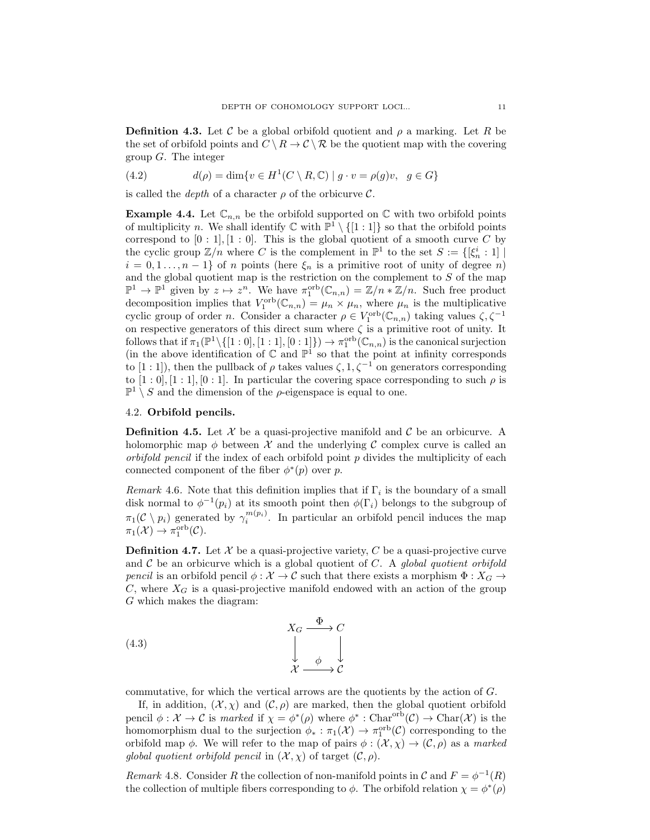**Definition 4.3.** Let C be a global orbifold quotient and  $\rho$  a marking. Let R be the set of orbifold points and  $C \setminus R \to C \setminus R$  be the quotient map with the covering group  $G$ . The integer

(4.2) 
$$
d(\rho) = \dim \{ v \in H^1(C \setminus R, \mathbb{C}) \mid g \cdot v = \rho(g)v, \ g \in G \}
$$

is called the *depth* of a character  $\rho$  of the orbicurve  $\mathcal{C}$ .

**Example 4.4.** Let  $\mathbb{C}_{n,n}$  be the orbifold supported on  $\mathbb{C}$  with two orbifold points of multiplicity n. We shall identify  $\mathbb{C}$  with  $\mathbb{P}^1 \setminus \{[1:1]\}$  so that the orbifold points correspond to  $[0:1], [1:0]$ . This is the global quotient of a smooth curve C by the cyclic group  $\mathbb{Z}/n$  where C is the complement in  $\mathbb{P}^1$  to the set  $S := \{[\xi_n^i : 1] \mid \xi_n^i \leq 1\}$  $i = 0, 1, \ldots, n-1$  of n points (here  $\xi_n$  is a primitive root of unity of degree n) and the global quotient map is the restriction on the complement to  $S$  of the map  $\mathbb{P}^1 \to \mathbb{P}^1$  given by  $z \mapsto z^n$ . We have  $\pi_1^{\text{orb}}(\mathbb{C}_{n,n}) = \mathbb{Z}/n * \mathbb{Z}/n$ . Such free product decomposition implies that  $V_1^{\text{orb}}(\mathbb{C}_{n,n}) = \mu_n \times \mu_n$ , where  $\mu_n$  is the multiplicative cyclic group of order *n*. Consider a character  $\rho \in V_1^{\text{orb}}(\mathbb{C}_{n,n})$  taking values  $\zeta, \zeta^{-1}$ on respective generators of this direct sum where  $\zeta$  is a primitive root of unity. It follows that if  $\pi_1(\mathbb{P}^1\setminus\{[1:0], [1:1], [0:1]\}) \to \pi_1^{\text{orb}}(\mathbb{C}_{n,n})$  is the canonical surjection (in the above identification of  $\mathbb C$  and  $\mathbb P^1$  so that the point at infinity corresponds to [1 : 1]), then the pullback of  $\rho$  takes values  $\zeta$ , 1,  $\zeta^{-1}$  on generators corresponding to  $[1:0], [1:1], [0:1]$ . In particular the covering space corresponding to such  $\rho$  is  $\mathbb{P}^1 \setminus S$  and the dimension of the  $\rho$ -eigenspace is equal to one.

## 4.2. Orbifold pencils.

**Definition 4.5.** Let  $\mathcal{X}$  be a quasi-projective manifold and  $\mathcal{C}$  be an orbicurve. A holomorphic map  $\phi$  between X and the underlying C complex curve is called an *orbifold pencil* if the index of each orbifold point  $p$  divides the multiplicity of each connected component of the fiber  $\phi^*(p)$  over p.

Remark 4.6. Note that this definition implies that if  $\Gamma_i$  is the boundary of a small disk normal to  $\phi^{-1}(p_i)$  at its smooth point then  $\phi(\Gamma_i)$  belongs to the subgroup of  $\pi_1(\mathcal{C} \setminus p_i)$  generated by  $\gamma_i^{m(p_i)}$ . In particular an orbifold pencil induces the map  $\pi_1(\mathcal{X}) \to \pi_1^{\text{orb}}(\mathcal{C}).$ 

**Definition 4.7.** Let  $\mathcal{X}$  be a quasi-projective variety, C be a quasi-projective curve and  $C$  be an orbicurve which is a global quotient of  $C$ . A global quotient orbifold pencil is an orbifold pencil  $\phi : \mathcal{X} \to \mathcal{C}$  such that there exists a morphism  $\Phi : X_G \to$  $C$ , where  $X_G$  is a quasi-projective manifold endowed with an action of the group G which makes the diagram:

(4.3) 
$$
X_G \xrightarrow{\Phi} C
$$

$$
\downarrow \qquad \downarrow \qquad \downarrow
$$

$$
\mathcal{X} \xrightarrow{\phi} \mathcal{C}
$$

commutative, for which the vertical arrows are the quotients by the action of G.

If, in addition,  $(X, \chi)$  and  $(C, \rho)$  are marked, then the global quotient orbifold pencil  $\phi : \mathcal{X} \to \mathcal{C}$  is marked if  $\chi = \phi^*(\rho)$  where  $\phi^* : \text{Char}^{\text{orb}}(\mathcal{C}) \to \text{Char}(\mathcal{X})$  is the homomorphism dual to the surjection  $\phi_* : \pi_1(\mathcal{X}) \to \pi_1^{\text{orb}}(\mathcal{C})$  corresponding to the orbifold map  $\phi$ . We will refer to the map of pairs  $\phi : (\mathcal{X}, \chi) \to (\mathcal{C}, \rho)$  as a marked global quotient orbifold pencil in  $(\mathcal{X}, \chi)$  of target  $(\mathcal{C}, \rho)$ .

Remark 4.8. Consider R the collection of non-manifold points in C and  $F = \phi^{-1}(R)$ the collection of multiple fibers corresponding to  $\phi$ . The orbifold relation  $\chi = \phi^*(\rho)$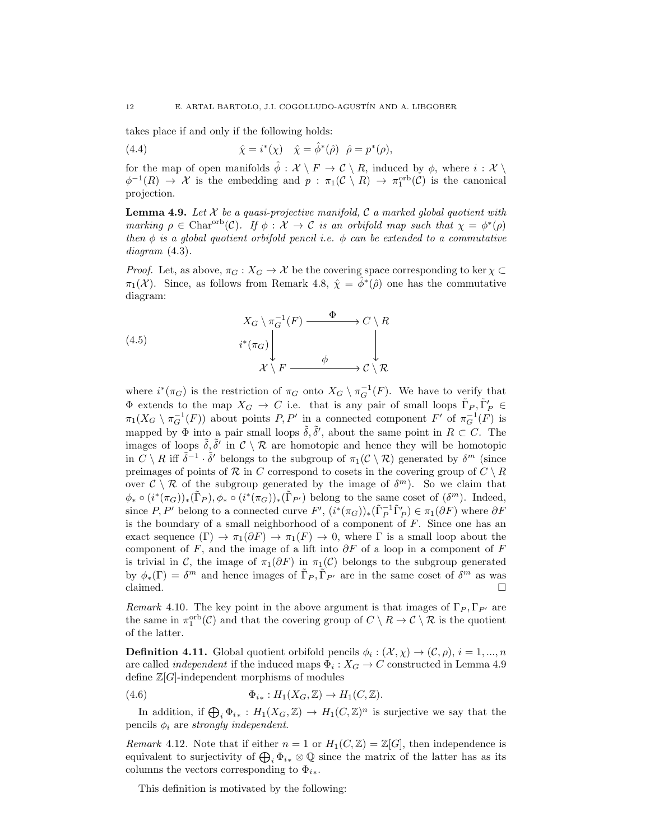takes place if and only if the following holds:

(4.4) 
$$
\hat{\chi} = i^*(\chi) \quad \hat{\chi} = \hat{\phi}^*(\hat{\rho}) \quad \hat{\rho} = p^*(\rho),
$$

for the map of open manifolds  $\hat{\phi} : \mathcal{X} \setminus F \to \mathcal{C} \setminus R$ , induced by  $\phi$ , where  $i : \mathcal{X} \setminus R$  $\phi^{-1}(R) \to \mathcal{X}$  is the embedding and  $p : \pi_1(\mathcal{C} \setminus R) \to \pi_1^{\text{orb}}(\mathcal{C})$  is the canonical projection.

**Lemma 4.9.** Let X be a quasi-projective manifold, C a marked global quotient with marking  $\rho \in \text{Char}^{\text{orb}}(\mathcal{C})$ . If  $\phi: \mathcal{X} \to \mathcal{C}$  is an orbifold map such that  $\chi = \phi^*(\rho)$ then  $\phi$  is a global quotient orbifold pencil i.e.  $\phi$  can be extended to a commutative diagram  $(4.3)$ .

*Proof.* Let, as above,  $\pi_G : X_G \to \mathcal{X}$  be the covering space corresponding to ker  $\chi \subset$  $\pi_1(\mathcal{X})$ . Since, as follows from Remark 4.8,  $\hat{\chi} = \hat{\phi}^*(\hat{\rho})$  one has the commutative diagram:

(4.5) 
$$
X_G \setminus \pi_G^{-1}(F) \xrightarrow{\Phi} C \setminus R
$$

$$
i^*(\pi_G) \downarrow \qquad \qquad \downarrow
$$

$$
\mathcal{X} \setminus F \xrightarrow{\phi} C \setminus \mathcal{R}
$$

where  $i^*(\pi_G)$  is the restriction of  $\pi_G$  onto  $X_G \setminus \pi_G^{-1}(F)$ . We have to verify that  $\Phi$  extends to the map  $X_G \to C$  i.e. that is any pair of small loops  $\tilde{\Gamma}_P, \tilde{\Gamma}'_P \in$  $\pi_1(X_G \setminus \pi_G^{-1}(F))$  about points  $P, P'$  in a connected component  $F'$  of  $\pi_G^{-1}(F)$  is mapped by  $\Phi$  into a pair small loops  $\tilde{\delta}, \tilde{\delta}'$ , about the same point in  $R \subset C$ . The images of loops  $\tilde{\delta}, \tilde{\delta}'$  in  $\mathcal{C}\setminus\mathcal{R}$  are homotopic and hence they will be homotopic in  $C \setminus R$  iff  $\tilde{\delta}^{-1} \cdot \tilde{\delta}'$  belongs to the subgroup of  $\pi_1(C \setminus R)$  generated by  $\delta^m$  (since preimages of points of R in C correspond to cosets in the covering group of  $C \setminus R$ over  $\mathcal{C}\setminus\mathcal{R}$  of the subgroup generated by the image of  $\delta^m$ ). So we claim that  $\phi_* \circ (i^*(\pi_G))_*(\tilde{\Gamma}_P), \phi_* \circ (i^*(\pi_G))_*(\tilde{\Gamma}_{P'})$  belong to the same coset of  $(\delta^m)$ . Indeed, since  $P, P'$  belong to a connected curve  $F', (i^*(\pi_G))_*(\tilde{\Gamma}_P^{-1} \tilde{\Gamma}_P') \in \pi_1(\partial F)$  where  $\partial F$ is the boundary of a small neighborhood of a component of  $F$ . Since one has an exact sequence  $(\Gamma) \to \pi_1(\partial F) \to \pi_1(F) \to 0$ , where  $\Gamma$  is a small loop about the component of F, and the image of a lift into  $\partial F$  of a loop in a component of F is trivial in C, the image of  $\pi_1(\partial F)$  in  $\pi_1(\mathcal{C})$  belongs to the subgroup generated by  $\phi_*(\Gamma) = \delta^m$  and hence images of  $\Gamma_P, \Gamma_{P'}$  are in the same coset of  $\delta^m$  as was claimed. claimed.  $\Box$ 

Remark 4.10. The key point in the above argument is that images of  $\Gamma_P, \Gamma_{P'}$  are the same in  $\pi_1^{\text{orb}}(\mathcal{C})$  and that the covering group of  $C \setminus R \to \mathcal{C} \setminus \mathcal{R}$  is the quotient of the latter.

**Definition 4.11.** Global quotient orbifold pencils  $\phi_i : (\mathcal{X}, \chi) \to (\mathcal{C}, \rho), i = 1, ..., n$ are called *independent* if the induced maps  $\Phi_i : X_G \to C$  constructed in Lemma 4.9 define  $\mathbb{Z}[G]$ -independent morphisms of modules

(4.6)  $\Phi_{i*}: H_1(X_G, \mathbb{Z}) \to H_1(C, \mathbb{Z}).$ 

In addition, if  $\bigoplus_i \Phi_{i*} : H_1(X_G, \mathbb{Z}) \to H_1(C, \mathbb{Z})^n$  is surjective we say that the pencils  $\phi_i$  are strongly independent.

*Remark* 4.12. Note that if either  $n = 1$  or  $H_1(C, \mathbb{Z}) = \mathbb{Z}[G]$ , then independence is equivalent to surjectivity of  $\bigoplus_i \Phi_{i*} \otimes \mathbb{Q}$  since the matrix of the latter has as its columns the vectors corresponding to  $\Phi_{i*}$ .

This definition is motivated by the following: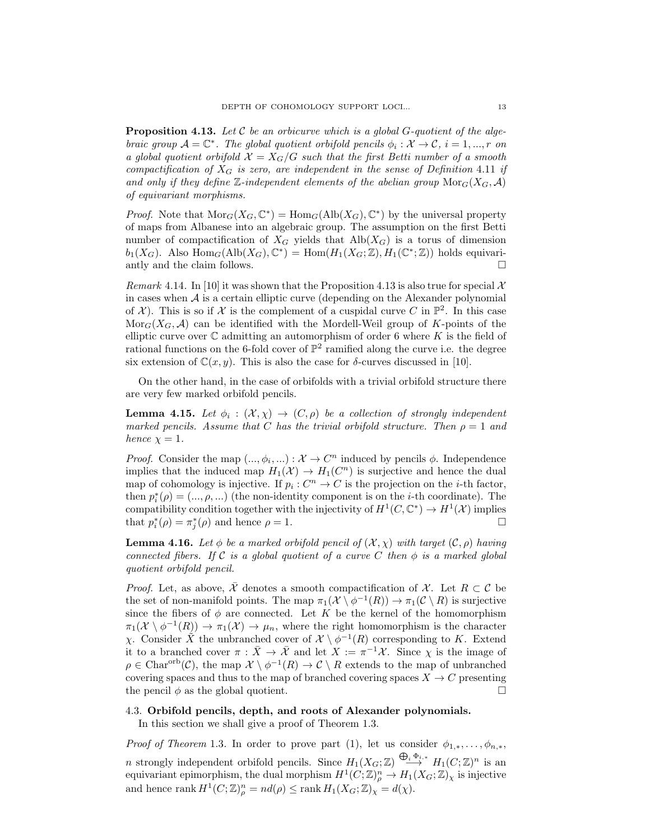**Proposition 4.13.** Let C be an orbicurve which is a global G-quotient of the algebraic group  $\mathcal{A} = \mathbb{C}^*$ . The global quotient orbifold pencils  $\phi_i : \mathcal{X} \to \mathcal{C}$ ,  $i = 1, ..., r$  on a global quotient orbifold  $X = X_G/G$  such that the first Betti number of a smooth compactification of  $X_G$  is zero, are independent in the sense of Definition 4.11 if and only if they define Z-independent elements of the abelian group  $\text{Mor}_G(X_G, \mathcal{A})$ of equivariant morphisms.

*Proof.* Note that  $\text{Mor}_G(X_G, \mathbb{C}^*) = \text{Hom}_G(\text{Alb}(X_G), \mathbb{C}^*)$  by the universal property of maps from Albanese into an algebraic group. The assumption on the first Betti number of compactification of  $X_G$  yields that  $\text{Alb}(X_G)$  is a torus of dimension  $b_1(X_G)$ . Also  $\text{Hom}_G(\text{Alb}(X_G), \mathbb{C}^*) = \text{Hom}(H_1(X_G; \mathbb{Z}), H_1(\mathbb{C}^*; \mathbb{Z}))$  holds equivariantly and the claim follows.  $\Box$ 

Remark 4.14. In [10] it was shown that the Proposition 4.13 is also true for special  $\mathcal{X}$ in cases when  $A$  is a certain elliptic curve (depending on the Alexander polynomial of  $\mathcal{X}$ ). This is so if  $\mathcal{X}$  is the complement of a cuspidal curve C in  $\mathbb{P}^2$ . In this case  $\text{Mor}_G(X_G, \mathcal{A})$  can be identified with the Mordell-Weil group of K-points of the elliptic curve over  $\mathbb C$  admitting an automorphism of order 6 where K is the field of rational functions on the 6-fold cover of  $\mathbb{P}^2$  ramified along the curve i.e. the degree six extension of  $\mathbb{C}(x, y)$ . This is also the case for  $\delta$ -curves discussed in [10].

On the other hand, in the case of orbifolds with a trivial orbifold structure there are very few marked orbifold pencils.

**Lemma 4.15.** Let  $\phi_i : (\mathcal{X}, \chi) \to (C, \rho)$  be a collection of strongly independent marked pencils. Assume that C has the trivial orbifold structure. Then  $\rho = 1$  and hence  $\chi = 1$ .

*Proof.* Consider the map  $(..., \phi_i, ...) : \mathcal{X} \to \mathbb{C}^n$  induced by pencils  $\phi$ . Independence implies that the induced map  $H_1(\mathcal{X}) \to H_1(\mathbb{C}^n)$  is surjective and hence the dual map of cohomology is injective. If  $p_i: C^n \to C$  is the projection on the *i*-th factor, then  $p_i^*(\rho) = (..., \rho, ...)$  (the non-identity component is on the *i*-th coordinate). The compatibility condition together with the injectivity of  $H^1(C, \mathbb{C}^*) \to H^1(\mathcal{X})$  implies<br>that  $p^*_i(\rho) = \pi^*_i(\rho)$  and hence  $\rho = 1$ . that  $p_i^*(\rho) = \pi_j^*(\rho)$  and hence  $\rho = 1$ .

**Lemma 4.16.** Let  $\phi$  be a marked orbifold pencil of  $(X, \chi)$  with target  $(C, \rho)$  having connected fibers. If C is a global quotient of a curve C then  $\phi$  is a marked global quotient orbifold pencil.

*Proof.* Let, as above,  $\overline{X}$  denotes a smooth compactification of X. Let  $R \subset \mathcal{C}$  be the set of non-manifold points. The map  $\pi_1(\mathcal{X} \setminus \phi^{-1}(R)) \to \pi_1(\mathcal{C} \setminus R)$  is surjective since the fibers of  $\phi$  are connected. Let K be the kernel of the homomorphism  $\pi_1(\mathcal{X} \setminus \phi^{-1}(R)) \to \pi_1(\mathcal{X}) \to \mu_n$ , where the right homomorphism is the character χ. Consider  $\tilde{X}$  the unbranched cover of  $\mathcal{X} \setminus \phi^{-1}(R)$  corresponding to K. Extend it to a branched cover  $\pi : \bar{X} \to \bar{\mathcal{X}}$  and let  $X := \pi^{-1} \mathcal{X}$ . Since  $\chi$  is the image of  $\rho \in \text{Char}^{\text{orb}}(\mathcal{C})$ , the map  $\mathcal{X} \setminus \phi^{-1}(R) \to \mathcal{C} \setminus R$  extends to the map of unbranched covering spaces and thus to the map of branched covering spaces  $X \to C$  presenting the pencil  $\phi$  as the global quotient. the pencil  $\phi$  as the global quotient.

# 4.3. Orbifold pencils, depth, and roots of Alexander polynomials.

In this section we shall give a proof of Theorem 1.3.

*Proof of Theorem* 1.3. In order to prove part (1), let us consider  $\phi_{1,*}, \ldots, \phi_{n,*}$ , n strongly independent orbifold pencils. Since  $H_1(X_G;\mathbb{Z}) \stackrel{\bigoplus_i \Phi_{i,*}}{\longrightarrow} H_1(C;\mathbb{Z})^n$  is an equivariant epimorphism, the dual morphism  $H^1(C; \mathbb{Z})^n_\rho \to H_1(X_G; \mathbb{Z})_\chi$  is injective and hence  $\text{rank } H^1(C; \mathbb{Z})_p^n = nd(\rho) \leq \text{rank } H_1(X_G; \mathbb{Z})_\chi = d(\chi)$ .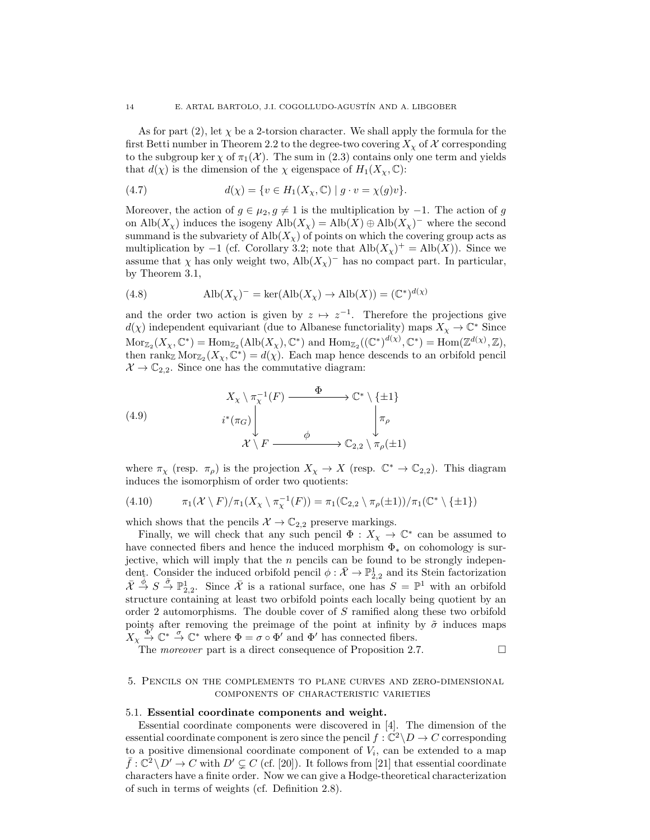As for part (2), let  $\chi$  be a 2-torsion character. We shall apply the formula for the first Betti number in Theorem 2.2 to the degree-two covering  $X_{\chi}$  of X corresponding to the subgroup ker  $\chi$  of  $\pi_1(\mathcal{X})$ . The sum in (2.3) contains only one term and yields that  $d(\chi)$  is the dimension of the  $\chi$  eigenspace of  $H_1(X_\chi,\mathbb{C})$ :

(4.7) 
$$
d(\chi) = \{ v \in H_1(X_{\chi}, \mathbb{C}) \mid g \cdot v = \chi(g)v \}.
$$

Moreover, the action of  $g \in \mu_2, g \neq 1$  is the multiplication by  $-1$ . The action of g on Alb $(X_{\chi})$  induces the isogeny Alb $(X_{\chi}) =$ Alb $(X) \oplus$ Alb $(X_{\chi})^-$  where the second summand is the subvariety of  $\text{Alb}(X_\chi)$  of points on which the covering group acts as multiplication by  $-1$  (cf. Corollary 3.2; note that  $\text{Alb}(X_{\chi})^{+} = \text{Alb}(X)$ ). Since we assume that  $\chi$  has only weight two, Alb $(X_{\chi})^-$  has no compact part. In particular, by Theorem 3.1,

(4.8) 
$$
\text{Alb}(X_{\chi})^{-} = \text{ker}(\text{Alb}(X_{\chi}) \to \text{Alb}(X)) = (\mathbb{C}^{*})^{d(\chi)}
$$

and the order two action is given by  $z \mapsto z^{-1}$ . Therefore the projections give  $d(\chi)$  independent equivariant (due to Albanese functoriality) maps  $X_{\chi} \to \mathbb{C}^*$  Since  $\text{Mor}_{\mathbb{Z}_2}(X_\chi, \mathbb{C}^*) = \text{Hom}_{\mathbb{Z}_2}(\text{Alb}(X_\chi), \mathbb{C}^*) \text{ and } \text{Hom}_{\mathbb{Z}_2}((\mathbb{C}^*)^{d(\chi)}, \mathbb{C}^*) = \text{Hom}(\mathbb{Z}^{d(\chi)}, \mathbb{Z}),$ then rank<sub>Z</sub> Mor<sub>Z<sub>2</sub></sub> ( $X_\chi$ ,  $\mathbb{C}^*$ ) =  $d(\chi)$ . Each map hence descends to an orbifold pencil  $X \to \mathbb{C}_{2,2}$ . Since one has the commutative diagram:

(4.9)  

$$
X_{\chi} \setminus \pi_{\chi}^{-1}(F) \xrightarrow{\Phi} \mathbb{C}^* \setminus \{\pm 1\}
$$

$$
i^*(\pi_G) \downarrow \qquad \qquad \downarrow \pi_{\rho}
$$

$$
X \setminus F \xrightarrow{\phi} \mathbb{C}_{2,2} \setminus \pi_{\rho}(\pm 1)
$$

where  $\pi_{\chi}$  (resp.  $\pi_{\rho}$ ) is the projection  $X_{\chi} \to X$  (resp.  $\mathbb{C}^* \to \mathbb{C}_{2,2}$ ). This diagram induces the isomorphism of order two quotients:

(4.10) 
$$
\pi_1(\mathcal{X}\setminus F)/\pi_1(X_{\chi}\setminus \pi_{\chi}^{-1}(F)) = \pi_1(\mathbb{C}_{2,2}\setminus \pi_{\rho}(\pm 1))/\pi_1(\mathbb{C}^*\setminus \{\pm 1\})
$$

which shows that the pencils  $\mathcal{X} \to \mathbb{C}_{2,2}$  preserve markings.

Finally, we will check that any such pencil  $\Phi: X_{\chi} \to \mathbb{C}^*$  can be assumed to have connected fibers and hence the induced morphism  $\Phi_*$  on cohomology is surjective, which will imply that the  $n$  pencils can be found to be strongly independent. Consider the induced orbifold pencil  $\phi : \bar{\mathcal{X}} \to \mathbb{P}^1_{2,2}$  and its Stein factorization  $\overline{X} \stackrel{\phi}{\rightarrow} S \stackrel{\overline{\phi}}{\rightarrow} \mathbb{P}^1_{2,2}$ . Since  $\overline{X}$  is a rational surface, one has  $S = \mathbb{P}^1$  with an orbifold structure containing at least two orbifold points each locally being quotient by an order 2 automorphisms. The double cover of S ramified along these two orbifold points after removing the preimage of the point at infinity by  $\tilde{\sigma}$  induces maps  $X_{\chi} \stackrel{\text{def}}{\rightarrow} \mathbb{C}^* \stackrel{\text{def}}{\rightarrow} \mathbb{C}^*$  where  $\Phi = \sigma \circ \Phi'$  and  $\Phi'$  has connected fibers.

The *moreover* part is a direct consequence of Proposition 2.7.  $\Box$ 

# 5. Pencils on the complements to plane curves and zero-dimensional components of characteristic varieties

#### 5.1. Essential coordinate components and weight.

Essential coordinate components were discovered in [4]. The dimension of the essential coordinate component is zero since the pencil  $f : \mathbb{C}^2 \backslash D \to C$  corresponding to a positive dimensional coordinate component of  $V_i$ , can be extended to a map  $\bar{f}: \mathbb{C}^2 \setminus D' \to C$  with  $D' \subseteq C$  (cf. [20]). It follows from [21] that essential coordinate characters have a finite order. Now we can give a Hodge-theoretical characterization of such in terms of weights (cf. Definition 2.8).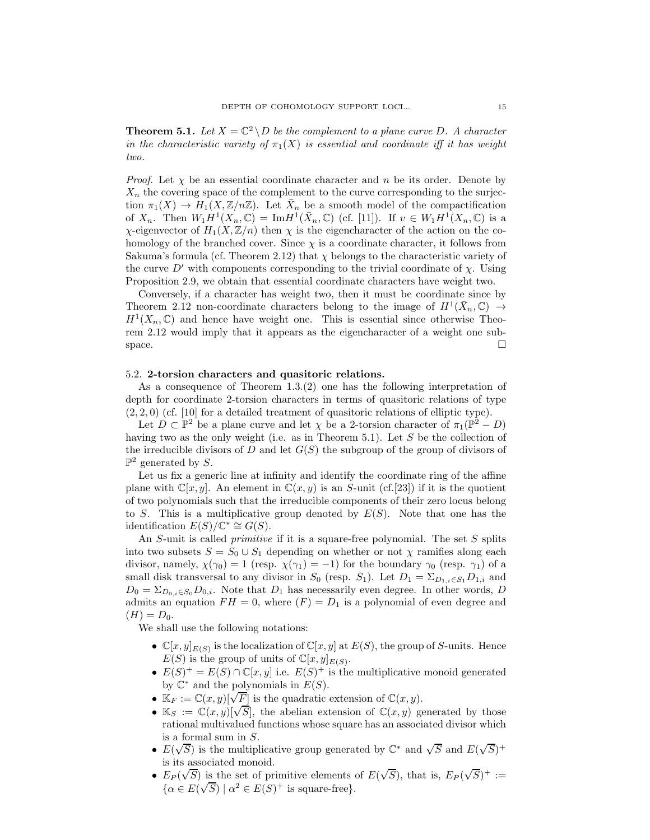**Theorem 5.1.** Let  $X = \mathbb{C}^2 \setminus D$  be the complement to a plane curve D. A character in the characteristic variety of  $\pi_1(X)$  is essential and coordinate iff it has weight two.

*Proof.* Let  $\chi$  be an essential coordinate character and n be its order. Denote by  $X_n$  the covering space of the complement to the curve corresponding to the surjection  $\pi_1(X) \to H_1(X, \mathbb{Z}/n\mathbb{Z})$ . Let  $\bar{X}_n$  be a smooth model of the compactification of  $X_n$ . Then  $W_1H^1(X_n,\mathbb{C}) = \text{Im}H^1(\bar{X}_n,\mathbb{C})$  (cf. [11]). If  $v \in W_1H^1(X_n,\mathbb{C})$  is a χ-eigenvector of  $H_1(X, \mathbb{Z}/n)$  then  $\chi$  is the eigencharacter of the action on the cohomology of the branched cover. Since  $\chi$  is a coordinate character, it follows from Sakuma's formula (cf. Theorem 2.12) that  $\chi$  belongs to the characteristic variety of the curve D' with components corresponding to the trivial coordinate of  $\chi$ . Using Proposition 2.9, we obtain that essential coordinate characters have weight two.

Conversely, if a character has weight two, then it must be coordinate since by Theorem 2.12 non-coordinate characters belong to the image of  $H^1(\bar{X}_n, \mathbb{C}) \to$  $H<sup>1</sup>(X_n, \mathbb{C})$  and hence have weight one. This is essential since otherwise Theorem 2.12 would imply that it appears as the eigencharacter of a weight one sub- $\Box$  space.  $\Box$ 

## 5.2. 2-torsion characters and quasitoric relations.

As a consequence of Theorem 1.3.(2) one has the following interpretation of depth for coordinate 2-torsion characters in terms of quasitoric relations of type  $(2, 2, 0)$  (cf. [10] for a detailed treatment of quasitoric relations of elliptic type).

Let  $D \subset \mathbb{P}^2$  be a plane curve and let  $\chi$  be a 2-torsion character of  $\pi_1(\mathbb{P}^2 - D)$ having two as the only weight (i.e. as in Theorem 5.1). Let S be the collection of the irreducible divisors of  $D$  and let  $G(S)$  the subgroup of the group of divisors of  $\mathbb{P}^2$  generated by S.

Let us fix a generic line at infinity and identify the coordinate ring of the affine plane with  $\mathbb{C}[x, y]$ . An element in  $\mathbb{C}(x, y)$  is an S-unit (cf.[23]) if it is the quotient of two polynomials such that the irreducible components of their zero locus belong to S. This is a multiplicative group denoted by  $E(S)$ . Note that one has the identification  $E(S)/\mathbb{C}^* \cong G(S)$ .

An  $S$ -unit is called *primitive* if it is a square-free polynomial. The set  $S$  splits into two subsets  $S = S_0 \cup S_1$  depending on whether or not  $\chi$  ramifies along each divisor, namely,  $\chi(\gamma_0) = 1$  (resp.  $\chi(\gamma_1) = -1$ ) for the boundary  $\gamma_0$  (resp.  $\gamma_1$ ) of a small disk transversal to any divisor in  $S_0$  (resp.  $S_1$ ). Let  $D_1 = \sum_{D_{1,i} \in S_1} D_{1,i}$  and  $D_0 = \sum_{D_{0,i} \in S_0} D_{0,i}$ . Note that  $D_1$  has necessarily even degree. In other words, D admits an equation  $FH = 0$ , where  $(F) = D_1$  is a polynomial of even degree and  $(H) = D_0.$ 

We shall use the following notations:

- $\mathbb{C}[x,y]_{E(S)}$  is the localization of  $\mathbb{C}[x,y]$  at  $E(S)$ , the group of S-units. Hence  $E(S)$  is the group of units of  $\mathbb{C}[x,y]_{E(S)}$ .
- $E(S)^{+} = E(S) \cap \mathbb{C}[x, y]$  i.e.  $E(S)^{+}$  is the multiplicative monoid generated by  $\mathbb{C}^*$  and the polynomials in  $E(S)$ .
- $\mathbb{K}_F := \mathbb{C}(x, y) [\sqrt{F}]$  is the quadratic extension of  $\mathbb{C}(x, y)$ .
- $\mathbb{K}_S := \mathbb{C}(x, y)[\sqrt{S}],$  the abelian extension of  $\mathbb{C}(x, y)$  generated by those rational multivalued functions whose square has an associated divisor which is a formal sum in S.
- $E(\sqrt{S})$  is the multiplicative group generated by  $\mathbb{C}^*$  and  $\sqrt{S}$  and  $E(\sqrt{S})^+$ is its associated monoid.
- $E_P(\sqrt{S})$  is the set of primitive elements of  $E(\sqrt{S})$ , that is,  $E_P(\sqrt{S})^+ :=$  $\{\alpha \in E(\sqrt{S}) \mid \alpha^2 \in E(S)^+ \text{ is square-free}\}.$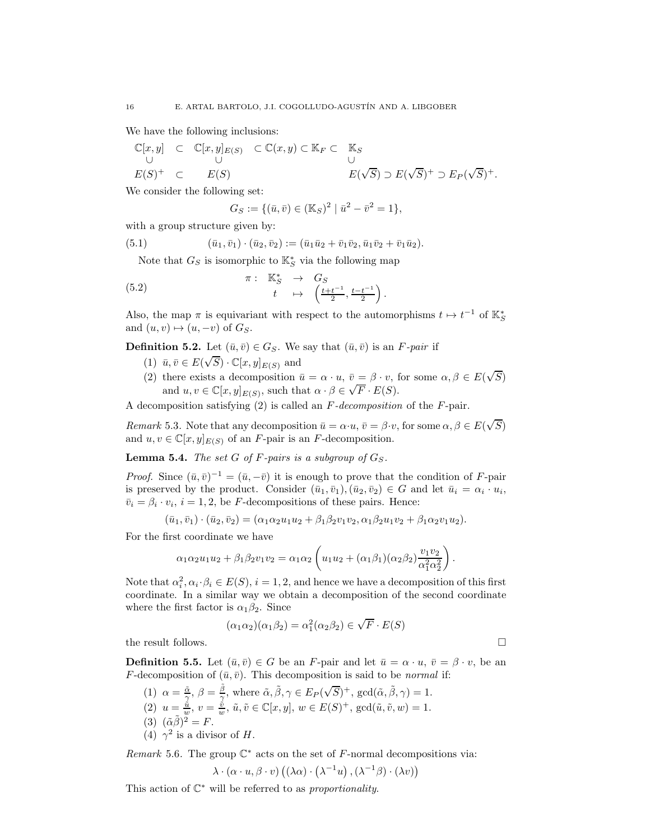We have the following inclusions:

$$
\mathbb{C}[x,y] \quad \subset \quad \mathbb{C}[x,y]_{E(S)} \quad \subset \mathbb{C}(x,y) \subset \mathbb{K}_F \subset \quad \mathbb{K}_S
$$
\n
$$
\cup \qquad \qquad \cup \qquad \qquad \cup
$$
\n
$$
E(S)^+ \quad \subset \qquad E(S) \qquad \qquad \qquad E(\sqrt{S}) \supset E(\sqrt{S})^+ \supset E_P(\sqrt{S})^+.
$$

We consider the following set:

$$
G_S := \{ (\bar{u}, \bar{v}) \in (\mathbb{K}_S)^2 \mid \bar{u}^2 - \bar{v}^2 = 1 \},\
$$

with a group structure given by:

(5.1) 
$$
(\bar{u}_1, \bar{v}_1) \cdot (\bar{u}_2, \bar{v}_2) := (\bar{u}_1 \bar{u}_2 + \bar{v}_1 \bar{v}_2, \bar{u}_1 \bar{v}_2 + \bar{v}_1 \bar{u}_2).
$$

Note that  $G_S$  is isomorphic to  $\mathbb{K}^*_S$  via the following map

(5.2) 
$$
\begin{array}{rcl}\n\pi: & \mathbb{K}_{S}^{*} & \rightarrow & G_{S} \\
t & \mapsto & \left(\frac{t+t^{-1}}{2}, \frac{t-t^{-1}}{2}\right).\n\end{array}
$$

Also, the map  $\pi$  is equivariant with respect to the automorphisms  $t \mapsto t^{-1}$  of  $\mathbb{K}^*_S$ and  $(u, v) \mapsto (u, -v)$  of  $G_S$ .

**Definition 5.2.** Let  $(\bar{u}, \bar{v}) \in G_S$ . We say that  $(\bar{u}, \bar{v})$  is an F-pair if

- (1)  $\bar{u}, \bar{v} \in E(\sqrt{S}) \cdot \mathbb{C}[x, y]_{E(S)}$  and
- (2) there exists a decomposition  $\bar{u} = \alpha \cdot u$ ,  $\bar{v} = \beta \cdot v$ , for some  $\alpha, \beta \in E(\sqrt{S})$ and  $u, v \in \mathbb{C}[x, y]_{E(S)}$ , such that  $\alpha \cdot \beta \in \sqrt{F} \cdot E(S)$ .

A decomposition satisfying  $(2)$  is called an F-decomposition of the F-pair.

Remark 5.3. Note that any decomposition  $\bar{u} = \alpha \cdot u$ ,  $\bar{v} = \beta \cdot v$ , for some  $\alpha, \beta \in E(\sqrt{S})$ and  $u, v \in \mathbb{C}[x, y]_{E(S)}$  of an F-pair is an F-decomposition.

**Lemma 5.4.** The set G of F-pairs is a subgroup of  $G_S$ .

*Proof.* Since  $(\bar{u}, \bar{v})^{-1} = (\bar{u}, -\bar{v})$  it is enough to prove that the condition of F-pair is preserved by the product. Consider  $(\bar{u}_1, \bar{v}_1), (\bar{u}_2, \bar{v}_2) \in G$  and let  $\bar{u}_i = \alpha_i \cdot u_i$ ,  $\bar{v}_i = \beta_i \cdot v_i$ ,  $i = 1, 2$ , be F-decompositions of these pairs. Hence:

$$
(\bar{u}_1, \bar{v}_1) \cdot (\bar{u}_2, \bar{v}_2) = (\alpha_1 \alpha_2 u_1 u_2 + \beta_1 \beta_2 v_1 v_2, \alpha_1 \beta_2 u_1 v_2 + \beta_1 \alpha_2 v_1 u_2).
$$

For the first coordinate we have

$$
\alpha_1\alpha_2u_1u_2+\beta_1\beta_2v_1v_2=\alpha_1\alpha_2\left(u_1u_2+(\alpha_1\beta_1)(\alpha_2\beta_2)\frac{v_1v_2}{\alpha_1^2\alpha_2^2}\right).
$$

Note that  $\alpha_i^2, \alpha_i \cdot \beta_i \in E(S)$ ,  $i = 1, 2$ , and hence we have a decomposition of this first coordinate. In a similar way we obtain a decomposition of the second coordinate where the first factor is  $\alpha_1\beta_2$ . Since

$$
(\alpha_1 \alpha_2)(\alpha_1 \beta_2) = \alpha_1^2(\alpha_2 \beta_2) \in \sqrt{F} \cdot E(S)
$$

the result follows.  $\Box$ 

**Definition 5.5.** Let  $(\bar{u}, \bar{v}) \in G$  be an F-pair and let  $\bar{u} = \alpha \cdot u$ ,  $\bar{v} = \beta \cdot v$ , be an F-decomposition of  $(\bar{u}, \bar{v})$ . This decomposition is said to be normal if:

(1)  $\alpha = \frac{\tilde{\alpha}}{\gamma}, \beta = \frac{\tilde{\beta}}{\gamma}, \text{ where } \tilde{\alpha}, \tilde{\beta}, \gamma \in E_P(\sqrt{S})^+, \text{ gcd}(\tilde{\alpha}, \tilde{\beta}, \gamma) = 1.$ (2)  $u = \frac{\tilde{u}}{w}, v = \frac{\tilde{v}}{w}, \tilde{u}, \tilde{v} \in \mathbb{C}[x, y], w \in E(S)^{+}, \text{gcd}(\tilde{u}, \tilde{v}, w) = 1.$ (3)  $({\tilde{\alpha}\tilde{\beta}})^2 = F$ . (4)  $\gamma^2$  is a divisor of H.

Remark 5.6. The group  $\mathbb{C}^*$  acts on the set of F-normal decompositions via:

$$
\lambda \cdot (\alpha \cdot u, \beta \cdot v) ((\lambda \alpha) \cdot (\lambda^{-1} u), (\lambda^{-1} \beta) \cdot (\lambda v))
$$

This action of  $\mathbb{C}^*$  will be referred to as proportionality.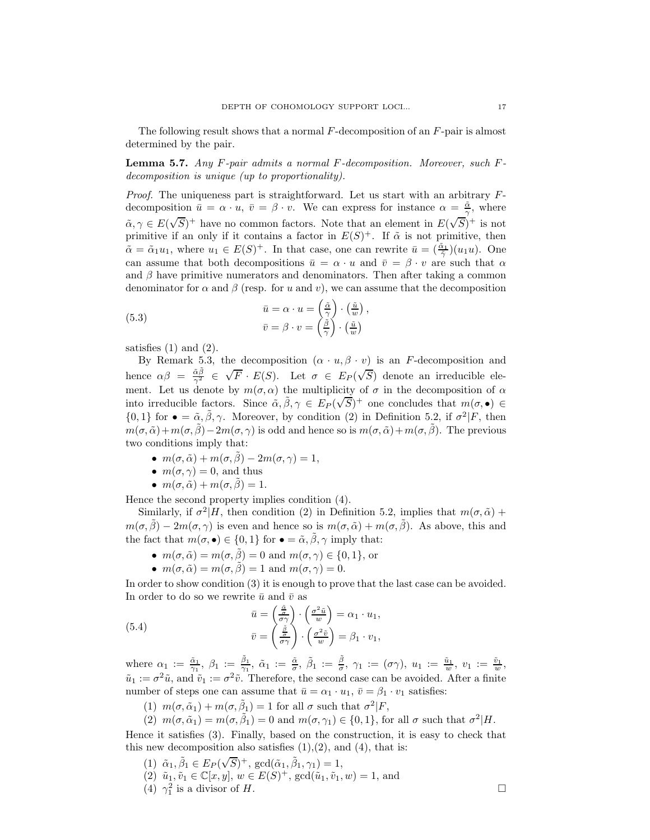The following result shows that a normal F-decomposition of an F-pair is almost determined by the pair.

**Lemma 5.7.** Any  $F$ -pair admits a normal  $F$ -decomposition. Moreover, such  $F$ decomposition is unique (up to proportionality).

*Proof.* The uniqueness part is straightforward. Let us start with an arbitrary  $F$ decomposition  $\bar{u} = \alpha \cdot u$ ,  $\bar{v} = \beta \cdot v$ . We can express for instance  $\alpha = \frac{\tilde{\alpha}}{\gamma}$ , where  $\tilde{\alpha}, \gamma \in E(\sqrt{S})^+$  have no common factors. Note that an element in  $E(\sqrt{S})^+$  is not primitive if an only if it contains a factor in  $E(S)^+$ . If  $\tilde{\alpha}$  is not primitive, then  $\tilde{\alpha} = \tilde{\alpha}_1 u_1$ , where  $u_1 \in E(S)^+$ . In that case, one can rewrite  $\bar{u} = (\frac{\tilde{\alpha}_1}{\tilde{\gamma}})(u_1 u)$ . One can assume that both decompositions  $\bar{u} = \alpha \cdot u$  and  $\bar{v} = \beta \cdot v$  are such that  $\alpha$ and  $\beta$  have primitive numerators and denominators. Then after taking a common denominator for  $\alpha$  and  $\beta$  (resp. for u and v), we can assume that the decomposition

,

(5.3) 
$$
\bar{u} = \alpha \cdot u = \left(\frac{\tilde{\alpha}}{\gamma}\right) \cdot \left(\frac{\tilde{u}}{w}\right) \n\bar{v} = \beta \cdot v = \left(\frac{\tilde{\beta}}{\gamma}\right) \cdot \left(\frac{\tilde{u}}{w}\right)
$$

satisfies  $(1)$  and  $(2)$ .

By Remark 5.3, the decomposition  $(\alpha \cdot u, \beta \cdot v)$  is an F-decomposition and hence  $\alpha\beta = \frac{\tilde{\alpha}\tilde{\beta}}{\gamma^2} \in \sqrt{F} \cdot E(S)$ . Let  $\sigma \in E_P(\sqrt{S})$  denote an irreducible element. Let us denote by  $m(\sigma, \alpha)$  the multiplicity of  $\sigma$  in the decomposition of  $\alpha$ into irreducible factors. Since  $\tilde{\alpha}, \tilde{\beta}, \gamma \in E_P(\sqrt{S})^+$  one concludes that  $m(\sigma, \bullet) \in$  $\{0,1\}$  for  $\bullet = \tilde{\alpha}, \tilde{\beta}, \gamma$ . Moreover, by condition (2) in Definition 5.2, if  $\sigma^2|F$ , then  $m(\sigma, \tilde{\alpha})+m(\sigma, \tilde{\beta})-2m(\sigma, \gamma)$  is odd and hence so is  $m(\sigma, \tilde{\alpha})+m(\sigma, \tilde{\beta})$ . The previous two conditions imply that:

- $m(\sigma, \tilde{\alpha}) + m(\sigma, \tilde{\beta}) 2m(\sigma, \gamma) = 1$ ,
- $m(\sigma, \gamma) = 0$ , and thus
- $m(\sigma, \tilde{\alpha}) + m(\sigma, \tilde{\beta}) = 1.$

Hence the second property implies condition (4).

Similarly, if  $\sigma^2|H$ , then condition (2) in Definition 5.2, implies that  $m(\sigma, \tilde{\alpha})$  +  $m(\sigma, \tilde{\beta}) - 2m(\sigma, \gamma)$  is even and hence so is  $m(\sigma, \tilde{\alpha}) + m(\sigma, \tilde{\beta})$ . As above, this and the fact that  $m(\sigma, \bullet) \in \{0, 1\}$  for  $\bullet = \tilde{\alpha}, \tilde{\beta}, \gamma$  imply that:

- $m(\sigma, \tilde{\alpha}) = m(\sigma, \tilde{\beta}) = 0$  and  $m(\sigma, \gamma) \in \{0, 1\}$ , or
- $m(\sigma, \tilde{\alpha}) = m(\sigma, \tilde{\beta}) = 1$  and  $m(\sigma, \gamma) = 0$ .

In order to show condition (3) it is enough to prove that the last case can be avoided. In order to do so we rewrite  $\bar{u}$  and  $\bar{v}$  as

(5.4) 
$$
\bar{u} = \left(\frac{\frac{\tilde{a}}{\sigma\gamma}}{\sigma\gamma}\right) \cdot \left(\frac{\sigma^2 \tilde{u}}{w}\right) = \alpha_1 \cdot u_1,
$$

$$
\bar{v} = \left(\frac{\frac{\tilde{a}}{\sigma\gamma}}{\sigma\gamma}\right) \cdot \left(\frac{\sigma^2 \tilde{v}}{w}\right) = \beta_1 \cdot v_1,
$$

where  $\alpha_1 := \frac{\tilde{\alpha}_1}{\gamma_1}$ ,  $\beta_1 := \frac{\tilde{\beta}_1}{\gamma_1}$ ,  $\tilde{\alpha}_1 := \frac{\tilde{\alpha}}{\sigma}$ ,  $\tilde{\beta}_1 := \frac{\tilde{\beta}}{\sigma}$ ,  $\gamma_1 := (\sigma \gamma)$ ,  $u_1 := \frac{\tilde{u}_1}{w}$ ,  $v_1 := \frac{\tilde{v}_1}{w}$ ,  $\tilde{u}_1 := \sigma^2 \tilde{u}$ , and  $\tilde{v}_1 := \sigma^2 \tilde{v}$ . Therefore, the second case can be avoided. After a finite number of steps one can assume that  $\bar{u} = \alpha_1 \cdot u_1$ ,  $\bar{v} = \beta_1 \cdot v_1$  satisfies:

- (1)  $m(\sigma, \tilde{\alpha}_1) + m(\sigma, \tilde{\beta}_1) = 1$  for all  $\sigma$  such that  $\sigma^2 | F$ ,
- (2)  $m(\sigma, \tilde{\alpha}_1) = m(\sigma, \tilde{\beta}_1) = 0$  and  $m(\sigma, \gamma_1) \in \{0, 1\}$ , for all  $\sigma$  such that  $\sigma^2 | H$ .

Hence it satisfies (3). Finally, based on the construction, it is easy to check that this new decomposition also satisfies  $(1),(2)$ , and  $(4)$ , that is:

- (1)  $\tilde{\alpha}_1, \tilde{\beta}_1 \in E_P(\sqrt{S})^+, \text{ gcd}(\tilde{\alpha}_1, \tilde{\beta}_1, \gamma_1) = 1,$
- (2)  $\tilde{u}_1, \tilde{v}_1 \in \mathbb{C}[x, y], w \in E(S)^+, \gcd(\tilde{u}_1, \tilde{v}_1, w) = 1$ , and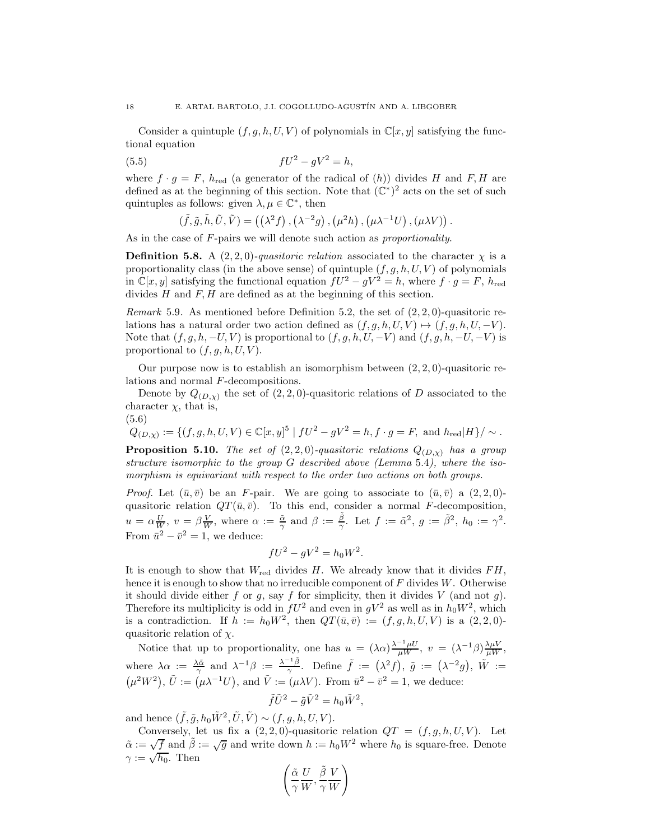Consider a quintuple  $(f, g, h, U, V)$  of polynomials in  $\mathbb{C}[x, y]$  satisfying the functional equation

(5.5) 
$$
fU^2 - gV^2 = h,
$$

where  $f \cdot g = F$ ,  $h_{\text{red}}$  (a generator of the radical of (h)) divides H and F, H are defined as at the beginning of this section. Note that  $(\mathbb{C}^*)^2$  acts on the set of such quintuples as follows: given  $\lambda, \mu \in \mathbb{C}^*$ , then

$$
(\tilde{f}, \tilde{g}, \tilde{h}, \tilde{U}, \tilde{V}) = ((\lambda^2 f), (\lambda^{-2} g), (\mu^2 h), (\mu \lambda^{-1} U), (\mu \lambda V))
$$

.

As in the case of F-pairs we will denote such action as *proportionality*.

**Definition 5.8.** A  $(2, 2, 0)$ -quasitoric relation associated to the character  $\chi$  is a proportionality class (in the above sense) of quintuple  $(f, g, h, U, V)$  of polynomials in  $\mathbb{C}[x, y]$  satisfying the functional equation  $fU^2 - gV^2 = h$ , where  $f \cdot g = F$ ,  $h_{\text{red}}$ divides  $H$  and  $F, H$  are defined as at the beginning of this section.

*Remark* 5.9. As mentioned before Definition 5.2, the set of  $(2, 2, 0)$ -quasitoric relations has a natural order two action defined as  $(f, g, h, U, V) \mapsto (f, g, h, U, -V)$ . Note that  $(f, g, h, -U, V)$  is proportional to  $(f, g, h, U, -V)$  and  $(f, g, h, -U, -V)$  is proportional to  $(f, g, h, U, V)$ .

Our purpose now is to establish an isomorphism between  $(2, 2, 0)$ -quasitoric relations and normal F-decompositions.

Denote by  $Q_{(D,x)}$  the set of  $(2, 2, 0)$ -quasitoric relations of D associated to the character  $\chi$ , that is,

$$
\begin{aligned} (5.6) \\ Q_{(D,\chi)} &:= \{ (f,g,h,U,V) \in \mathbb{C}[x,y]^5 \mid fU^2 - gV^2 = h, f \cdot g = F, \text{ and } h_{\text{red}} |H \} / \sim. \end{aligned}
$$

**Proposition 5.10.** The set of  $(2, 2, 0)$ -quasitoric relations  $Q_{(D,x)}$  has a group structure isomorphic to the group G described above (Lemma 5.4), where the isomorphism is equivariant with respect to the order two actions on both groups.

*Proof.* Let  $(\bar{u}, \bar{v})$  be an F-pair. We are going to associate to  $(\bar{u}, \bar{v})$  a  $(2, 2, 0)$ quasitoric relation  $QT(\bar{u}, \bar{v})$ . To this end, consider a normal F-decomposition,  $u = \alpha \frac{U}{W}, v = \beta \frac{V}{W}, \text{ where } \alpha := \frac{\tilde{\alpha}}{\gamma} \text{ and } \beta := \frac{\tilde{\beta}}{\gamma}. \text{ Let } f := \tilde{\alpha}^2, g := \tilde{\beta}^2, h_0 := \gamma^2.$ From  $\bar{u}^2 - \bar{v}^2 = 1$ , we deduce:

$$
fU^2 - gV^2 = h_0W^2.
$$

It is enough to show that  $W_{\text{red}}$  divides H. We already know that it divides  $FH$ , hence it is enough to show that no irreducible component of  $F$  divides  $W$ . Otherwise it should divide either f or g, say f for simplicity, then it divides V (and not g). Therefore its multiplicity is odd in  $fU^2$  and even in  $gV^2$  as well as in  $h_0W^2$ , which is a contradiction. If  $h := h_0 W^2$ , then  $QT(\bar{u}, \bar{v}) := (f, g, h, U, V)$  is a  $(2, 2, 0)$ quasitoric relation of  $\chi$ .

Notice that up to proportionality, one has  $u = (\lambda \alpha) \frac{\lambda^{-1} \mu U}{\mu W}$ ,  $v = (\lambda^{-1} \beta) \frac{\lambda \mu V}{\mu W}$ , where  $\lambda \alpha := \frac{\lambda \tilde{\alpha}}{\gamma}$  and  $\lambda^{-1} \beta := \frac{\lambda^{-1} \tilde{\beta}}{\gamma}$ . Define  $\tilde{f} := (\lambda^2 f), \tilde{g} := (\lambda^{-2} g), \tilde{W} :=$  $(\mu^2 W^2)$ ,  $\tilde{U} := (\mu \lambda^{-1} U)$ , and  $\tilde{V} := (\mu \lambda V)$ . From  $\bar{u}^2 - \bar{v}^2 = 1$ , we deduce:

$$
\tilde{f}\tilde{U}^2 - \tilde{g}\tilde{V}^2 = h_0 \tilde{W}^2,
$$

and hence  $(\tilde{f}, \tilde{g}, h_0 \tilde{W}^2, \tilde{U}, \tilde{V}) \sim (f, g, h, U, V)$ .

Conversely, let us fix a  $(2, 2, 0)$ -quasitoric relation  $QT = (f, g, h, U, V)$ . Let  $\tilde{\alpha} := \sqrt{f}$  and  $\tilde{\beta} := \sqrt{g}$  and write down  $h := h_0 W^2$  where  $h_0$  is square-free. Denote  $\gamma := \sqrt{h_0}$ . Then

$$
\left(\frac{\tilde{\alpha}}{\gamma}\frac{U}{W}, \frac{\tilde{\beta}}{\gamma}\frac{V}{W}\right)
$$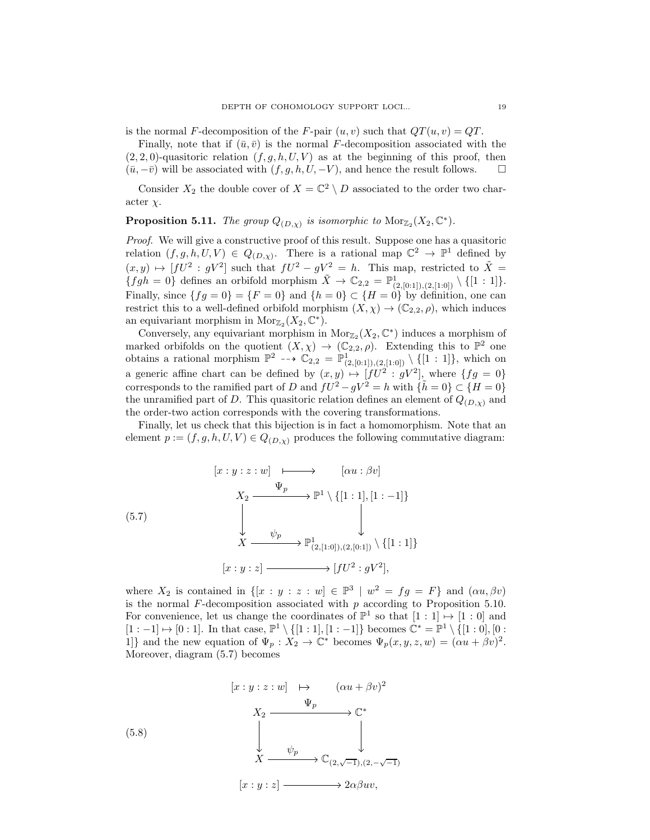is the normal F-decomposition of the F-pair  $(u, v)$  such that  $QT(u, v) = QT$ .

Finally, note that if  $(\bar{u}, \bar{v})$  is the normal F-decomposition associated with the  $(2, 2, 0)$ -quasitoric relation  $(f, g, h, U, V)$  as at the beginning of this proof, then  $(\bar{u}, -\bar{v})$  will be associated with  $(f, g, h, U, -V)$ , and hence the result follows.  $\Box$ 

Consider  $X_2$  the double cover of  $X = \mathbb{C}^2 \setminus D$  associated to the order two character  $\chi$ .

# **Proposition 5.11.** The group  $Q_{(D,\chi)}$  is isomorphic to  $Mor_{\mathbb{Z}_2}(X_2,\mathbb{C}^*)$ .

Proof. We will give a constructive proof of this result. Suppose one has a quasitoric relation  $(f, g, h, U, V) \in Q_{(D,\chi)}$ . There is a rational map  $\mathbb{C}^2 \to \mathbb{P}^1$  defined by  $(x, y) \mapsto [fU^2 : gV^2]$  such that  $fU^2 - gV^2 = h$ . This map, restricted to  $\tilde{X} =$  ${fgh = 0}$  defines an orbifold morphism  $\tilde{X} \to \mathbb{C}_{2,2} = \mathbb{P}^1_{(2,[0:1]), (2,[1:0])} \setminus \{[1:1]\}.$ Finally, since  $\{fg=0\} = \{F=0\}$  and  $\{h=0\} \subset \{H=0\}$  by definition, one can restrict this to a well-defined orbifold morphism  $(X, \chi) \to (\mathbb{C}_{2,2}, \rho)$ , which induces an equivariant morphism in  $Mor_{\mathbb{Z}_2}(X_2, \mathbb{C}^*).$ 

Conversely, any equivariant morphism in  $Mor_{\mathbb{Z}_2}(X_2, \mathbb{C}^*)$  induces a morphism of marked orbifolds on the quotient  $(X, \chi) \to (\mathbb{C}_{2,2}, \rho)$ . Extending this to  $\mathbb{P}^2$  one obtains a rational morphism  $\mathbb{P}^2 \dashrightarrow \mathbb{C}_{2,2} = \mathbb{P}^1_{(2,[0:1]),(2,[1:0])} \setminus \{[1:1]\},\$  which on a generic affine chart can be defined by  $(x, y) \mapsto [fU^2 : gV^2]$ , where  $\{fg = 0\}$ corresponds to the ramified part of D and  $fU^2 - gV^2 = h$  with  $\{\tilde{h} = 0\} \subset \{H = 0\}$ the unramified part of D. This quasitoric relation defines an element of  $Q_{(D,\gamma)}$  and the order-two action corresponds with the covering transformations.

Finally, let us check that this bijection is in fact a homomorphism. Note that an element  $p := (f, g, h, U, V) \in Q_{(D,\chi)}$  produces the following commutative diagram:

$$
\begin{array}{ccc}\n[z:y:z:w] & \longmapsto & [ \alpha u: \beta v] \\
X_2 & \xrightarrow{\Psi_p} & \mathbb{P}^1 \setminus \{ [1:1], [1:-1] \} \\
& & \downarrow & \downarrow & \downarrow \\
X & \xrightarrow{\psi_p} & \mathbb{P}^1_{(2,[1:0]), (2,[0:1])} \setminus \{ [1:1] \} \\
[z:y:z] & \xrightarrow{\hspace{1cm}} [fU^2:gV^2],\n\end{array}
$$

where  $X_2$  is contained in  $\{[x : y : z : w] \in \mathbb{P}^3 \mid w^2 = fg = F\}$  and  $(\alpha u, \beta v)$ is the normal  $F$ -decomposition associated with  $p$  according to Proposition 5.10. For convenience, let us change the coordinates of  $\mathbb{P}^1$  so that  $[1:1] \mapsto [1:0]$  and  $[1:-1] \mapsto [0:1]$ . In that case,  $\mathbb{P}^1 \setminus \{[1:1], [1:-1]\}$  becomes  $\mathbb{C}^* = \mathbb{P}^1 \setminus \{[1:0], [0:1]\}$ 1]} and the new equation of  $\Psi_p: X_2 \to \mathbb{C}^*$  becomes  $\Psi_p(x, y, z, w)=(\alpha u + \beta v)^2$ . Moreover, diagram (5.7) becomes

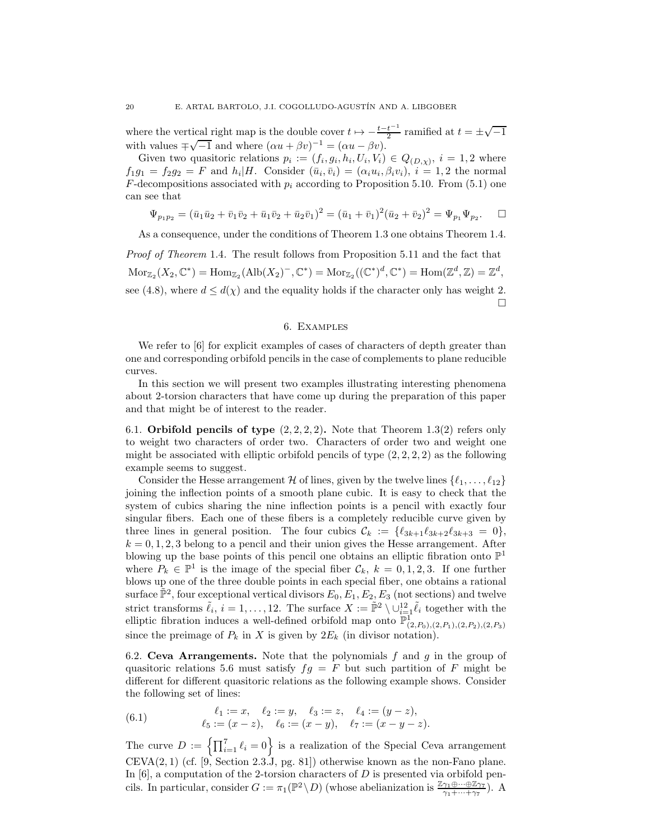where the vertical right map is the double cover  $t \mapsto -\frac{t-t^{-1}}{2}$  ramified at  $t = \pm \sqrt{-1}$ with values  $\pm \sqrt{-1}$  and where  $(\alpha u + \beta v)^{-1} = (\alpha u - \beta v)$ .

Given two quasitoric relations  $p_i := (f_i, g_i, h_i, U_i, V_i) \in Q_{(D,\chi)}, i = 1, 2$  where  $f_1g_1 = f_2g_2 = F$  and  $h_i|H$ . Consider  $(\bar{u}_i, \bar{v}_i) = (\alpha_i u_i, \beta_i v_i), i = 1, 2$  the normal  $F$ -decompositions associated with  $p_i$  according to Proposition 5.10. From (5.1) one can see that

$$
\Psi_{p_1p_2} = (\bar{u}_1\bar{u}_2 + \bar{v}_1\bar{v}_2 + \bar{u}_1\bar{v}_2 + \bar{u}_2\bar{v}_1)^2 = (\bar{u}_1 + \bar{v}_1)^2(\bar{u}_2 + \bar{v}_2)^2 = \Psi_{p_1}\Psi_{p_2}.\quad \Box
$$

As a consequence, under the conditions of Theorem 1.3 one obtains Theorem 1.4.

Proof of Theorem 1.4. The result follows from Proposition 5.11 and the fact that  $\text{Mor}_{\mathbb{Z}_2}(X_2, \mathbb{C}^*) = \text{Hom}_{\mathbb{Z}_2}(\text{Alb}(X_2)^-, \mathbb{C}^*) = \text{Mor}_{\mathbb{Z}_2}((\mathbb{C}^*)^d, \mathbb{C}^*) = \text{Hom}(\mathbb{Z}^d, \mathbb{Z}) = \mathbb{Z}^d,$ see (4.8), where  $d \leq d(\chi)$  and the equality holds if the character only has weight 2.  $\Box$ 

# 6. Examples

We refer to [6] for explicit examples of cases of characters of depth greater than one and corresponding orbifold pencils in the case of complements to plane reducible curves.

In this section we will present two examples illustrating interesting phenomena about 2-torsion characters that have come up during the preparation of this paper and that might be of interest to the reader.

6.1. Orbifold pencils of type  $(2, 2, 2, 2)$ . Note that Theorem 1.3(2) refers only to weight two characters of order two. Characters of order two and weight one might be associated with elliptic orbifold pencils of type  $(2, 2, 2, 2)$  as the following example seems to suggest.

Consider the Hesse arrangement H of lines, given by the twelve lines  $\{\ell_1,\ldots,\ell_{12}\}$ joining the inflection points of a smooth plane cubic. It is easy to check that the system of cubics sharing the nine inflection points is a pencil with exactly four singular fibers. Each one of these fibers is a completely reducible curve given by three lines in general position. The four cubics  $\mathcal{C}_k := \{ \ell_{3k+1} \ell_{3k+2} \ell_{3k+3} = 0 \},$  $k = 0, 1, 2, 3$  belong to a pencil and their union gives the Hesse arrangement. After blowing up the base points of this pencil one obtains an elliptic fibration onto  $\mathbb{P}^1$ where  $P_k \in \mathbb{P}^1$  is the image of the special fiber  $\mathcal{C}_k$ ,  $k = 0, 1, 2, 3$ . If one further blows up one of the three double points in each special fiber, one obtains a rational surface  $\mathbb{P}^2$ , four exceptional vertical divisors  $E_0, E_1, E_2, E_3$  (not sections) and twelve strict transforms  $\tilde{\ell}_i$ ,  $i = 1, \ldots, 12$ . The surface  $X := \tilde{\mathbb{P}}^2 \setminus \cup_{i=1}^{12} \tilde{\ell}_i$  together with the elliptic fibration induces a well-defined orbifold map onto  $\mathbb{P}^1_{(2,P_0),(2,P_1),(2,P_2),(2,P_3)}$ since the preimage of  $P_k$  in X is given by  $2E_k$  (in divisor notation).

6.2. Ceva Arrangements. Note that the polynomials  $f$  and  $g$  in the group of quasitoric relations 5.6 must satisfy  $fg = F$  but such partition of F might be different for different quasitoric relations as the following example shows. Consider the following set of lines:

(6.1) 
$$
\ell_1 := x, \quad \ell_2 := y, \quad \ell_3 := z, \quad \ell_4 := (y - z), \n\ell_5 := (x - z), \quad \ell_6 := (x - y), \quad \ell_7 := (x - y - z).
$$

The curve  $D := \left\{ \prod_{i=1}^{7} \ell_i = 0 \right\}$  is a realization of the Special Ceva arrangement  $CEVA(2, 1)$  (cf. [9, Section 2.3.J, pg. 81]) otherwise known as the non-Fano plane. In  $[6]$ , a computation of the 2-torsion characters of D is presented via orbifold pencils. In particular, consider  $G := \pi_1(\mathbb{P}^2 \setminus D)$  (whose abelianization is  $\frac{\mathbb{Z}_{\gamma_1} \oplus \cdots \oplus \mathbb{Z}_{\gamma_T}}{\gamma_1 + \cdots + \gamma_7}$ ). A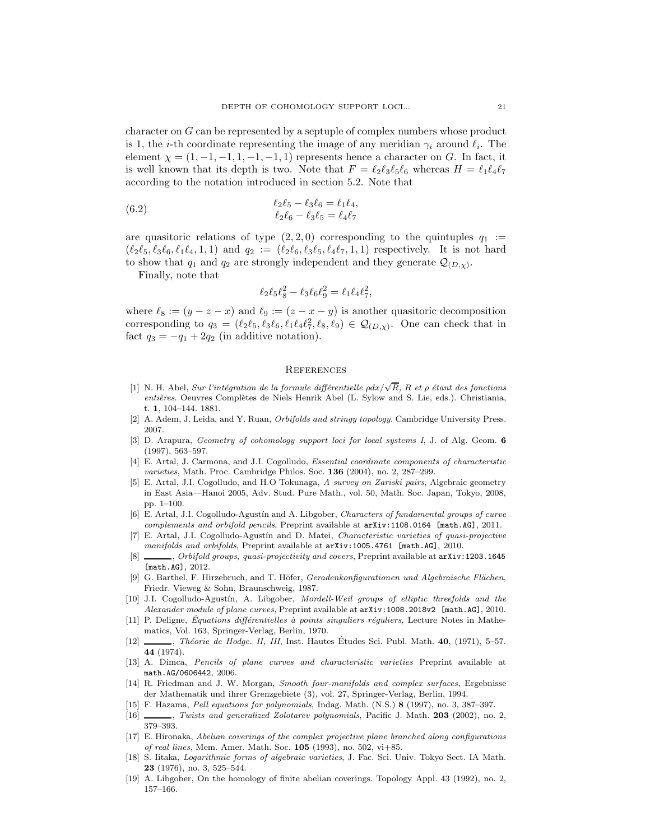character on G can be represented by a septuple of complex numbers whose product is 1, the *i*-th coordinate representing the image of any meridian  $\gamma_i$  around  $\ell_i$ . The element  $\chi = (1, -1, -1, 1, -1, -1, 1)$  represents hence a character on G. In fact, it is well known that its depth is two. Note that  $F = \ell_2 \ell_3 \ell_5 \ell_6$  whereas  $H = \ell_1 \ell_4 \ell_7$ according to the notation introduced in section 5.2. Note that

(6.2) 
$$
\ell_2 \ell_5 - \ell_3 \ell_6 = \ell_1 \ell_4, \n\ell_2 \ell_6 - \ell_3 \ell_5 = \ell_4 \ell_7
$$

are quasitoric relations of type  $(2, 2, 0)$  corresponding to the quintuples  $q_1 :=$  $(\ell_2\ell_5, \ell_3\ell_6, \ell_1\ell_4, 1, 1)$  and  $q_2 := (\ell_2\ell_6, \ell_3\ell_5, \ell_4\ell_7, 1, 1)$  respectively. It is not hard to show that  $q_1$  and  $q_2$  are strongly independent and they generate  $\mathcal{Q}_{(D,\chi)}$ .

Finally, note that

$$
\ell_2 \ell_5 \ell_8^2 - \ell_3 \ell_6 \ell_9^2 = \ell_1 \ell_4 \ell_7^2,
$$

where  $\ell_8 := (y - z - x)$  and  $\ell_9 := (z - x - y)$  is another quasitoric decomposition corresponding to  $q_3 = (\ell_2 \ell_5, \ell_3 \ell_6, \ell_1 \ell_4 \ell_7^2, \ell_8, \ell_9) \in \mathcal{Q}_{(D,\chi)}$ . One can check that in fact  $q_3 = -q_1 + 2q_2$  (in additive notation).

### **REFERENCES**

- [1] N. H. Abel, Sur l'intégration de la formule différentielle  $\rho dx/\sqrt{R}$ , R et  $\rho$  étant des fonctions entières. Oeuvres Complètes de Niels Henrik Abel (L. Sylow and S. Lie, eds.). Christiania, t. 1, 104–144. 1881.
- [2] A. Adem, J. Leida, and Y. Ruan, Orbifolds and stringy topology. Cambridge University Press. 2007.
- [3] D. Arapura, *Geometry of cohomology support loci for local systems I*, J. of Alg. Geom. 6 (1997), 563–597.
- [4] E. Artal, J. Carmona, and J.I. Cogolludo, Essential coordinate components of characteristic varieties, Math. Proc. Cambridge Philos. Soc. 136 (2004), no. 2, 287–299.
- [5] E. Artal, J.I. Cogolludo, and H.O Tokunaga, A survey on Zariski pairs, Algebraic geometry in East Asia—Hanoi 2005, Adv. Stud. Pure Math., vol. 50, Math. Soc. Japan, Tokyo, 2008, pp. 1–100.
- [6] E. Artal, J.I. Cogolludo-Agustín and A. Libgober, Characters of fundamental groups of curve complements and orbifold pencils, Preprint available at arXiv:1108.0164 [math.AG], 2011.
- [7] E. Artal, J.I. Cogolludo-Agustín and D. Matei, Characteristic varieties of quasi-projective manifolds and orbifolds, Preprint available at  $arXiv:1005.4761$  [math.AG], 2010.
- [8] , Orbifold groups, quasi-projectivity and covers, Preprint available at  $arXiv:1203.1645$ [math.AG], 2012.
- [9] G. Barthel, F. Hirzebruch, and T. Höfer, Geradenkonfigurationen und Algebraische Flächen, Friedr. Vieweg & Sohn, Braunschweig, 1987.
- [10] J.I. Cogolludo-Agustín, A. Libgober, Mordell-Weil groups of elliptic threefolds and the Alexander module of plane curves, Preprint available at  $arXiv:1008.2018v2$  [math.AG], 2010.
- [11] P. Deligne, Équations différentielles à points singuliers réquliers, Lecture Notes in Mathematics, Vol. 163, Springer-Verlag, Berlin, 1970.
- $[12]$  , Théorie de Hodge. II, III, Inst. Hautes Études Sci. Publ. Math. 40, (1971), 5–57. 44 (1974).
- [13] A. Dimca, Pencils of plane curves and characteristic varieties Preprint available at math.AG/0606442, 2006.
- [14] R. Friedman and J. W. Morgan, Smooth four-manifolds and complex surfaces, Ergebnisse der Mathematik und ihrer Grenzgebiete (3), vol. 27, Springer-Verlag, Berlin, 1994.
- [15] F. Hazama, Pell equations for polynomials, Indag. Math. (N.S.) 8 (1997), no. 3, 387–397.
- [16] , Twists and generalized Zolotarev polynomials, Pacific J. Math. 203 (2002), no. 2, 379–393.
- [17] E. Hironaka, Abelian coverings of the complex projective plane branched along configurations of real lines, Mem. Amer. Math. Soc. 105 (1993), no. 502, vi+85.
- [18] S. Iitaka, Logarithmic forms of algebraic varieties, J. Fac. Sci. Univ. Tokyo Sect. IA Math. 23 (1976), no. 3, 525–544.
- [19] A. Libgober, On the homology of finite abelian coverings. Topology Appl. 43 (1992), no. 2, 157–166.